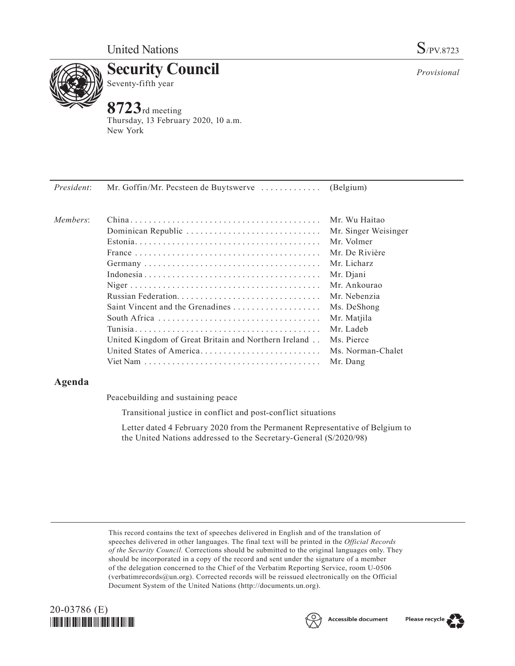

**Security Council** Seventy-fifth year

# **8723**rd meeting

Thursday, 13 February 2020, 10 a.m. New York

| President: | Mr. Goffin/Mr. Pecsteen de Buytswerve  (Belgium)     |                      |
|------------|------------------------------------------------------|----------------------|
| Members:   |                                                      | Mr. Wu Haitao        |
|            | Dominican Republic                                   | Mr. Singer Weisinger |
|            |                                                      | Mr. Volmer           |
|            |                                                      | Mr. De Rivière       |
|            |                                                      | Mr. Licharz          |
|            |                                                      | Mr. Djani            |
|            |                                                      | Mr. Ankourao         |
|            |                                                      | Mr. Nebenzia         |
|            |                                                      | Ms. DeShong          |
|            |                                                      | Mr. Matjila          |
|            |                                                      | Mr. Ladeb            |
|            | United Kingdom of Great Britain and Northern Ireland | Ms. Pierce           |
|            | United States of America                             | Ms. Norman-Chalet    |
|            |                                                      | Mr. Dang             |
|            |                                                      |                      |

## **Agenda**

Peacebuilding and sustaining peace

Transitional justice in conflict and post-conflict situations

Letter dated 4 February 2020 from the Permanent Representative of Belgium to the United Nations addressed to the Secretary-General (S/2020/98)

This record contains the text of speeches delivered in English and of the translation of speeches delivered in other languages. The final text will be printed in the *Official Records of the Security Council.* Corrections should be submitted to the original languages only. They should be incorporated in a copy of the record and sent under the signature of a member of the delegation concerned to the Chief of the Verbatim Reporting Service, room U-0506 (verbatimrecords $@un.org$ ). Corrected records will be reissued electronically on the Official Document System of the United Nations (http://documents.un.org).







*Provisional*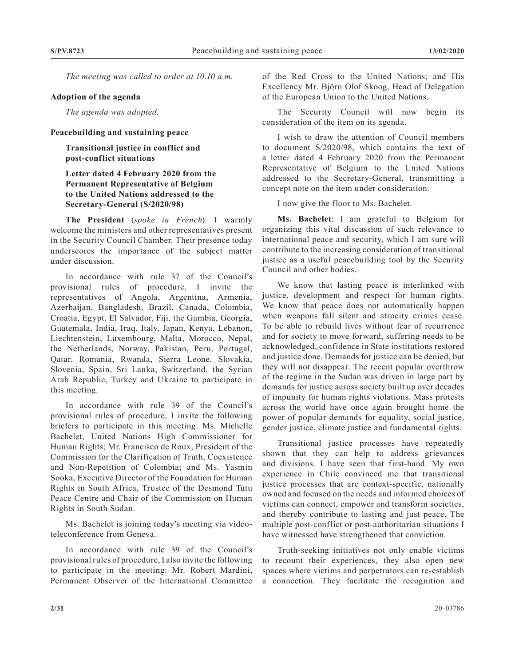*The meeting was called to order at 10.10 a.m.*

#### **Adoption of the agenda**

*The agenda was adopted.*

### **Peacebuilding and sustaining peace**

**Transitional justice in conflict and post-conflict situations**

## **Letter dated 4 February 2020 from the Permanent Representative of Belgium to the United Nations addressed to the Secretary-General (S/2020/98)**

**The President** (*spoke in French*): I warmly welcome the ministers and other representatives present in the Security Council Chamber. Their presence today underscores the importance of the subject matter under discussion.

In accordance with rule 37 of the Council's provisional rules of procedure, I invite the representatives of Angola, Argentina, Armenia, Azerbaijan, Bangladesh, Brazil, Canada, Colombia, Croatia, Egypt, El Salvador, Fiji, the Gambia, Georgia, Guatemala, India, Iraq, Italy, Japan, Kenya, Lebanon, Liechtenstein, Luxembourg, Malta, Morocco, Nepal, the Netherlands, Norway, Pakistan, Peru, Portugal, Qatar, Romania, Rwanda, Sierra Leone, Slovakia, Slovenia, Spain, Sri Lanka, Switzerland, the Syrian Arab Republic, Turkey and Ukraine to participate in this meeting.

In accordance with rule 39 of the Council's provisional rules of procedure, I invite the following briefers to participate in this meeting: Ms. Michelle Bachelet, United Nations High Commissioner for Human Rights; Mr. Francisco de Roux, President of the Commission for the Clarification of Truth, Coexistence and Non-Repetition of Colombia; and Ms. Yasmin Sooka, Executive Director of the Foundation for Human Rights in South Africa, Trustee of the Desmond Tutu Peace Centre and Chair of the Commission on Human Rights in South Sudan.

Ms. Bachelet is joining today's meeting via videoteleconference from Geneva.

In accordance with rule 39 of the Council's provisional rules of procedure, I also invite the following to participate in the meeting: Mr. Robert Mardini, Permanent Observer of the International Committee of the Red Cross to the United Nations; and His Excellency Mr. Björn Olof Skoog, Head of Delegation of the European Union to the United Nations.

The Security Council will now begin its consideration of the item on its agenda.

I wish to draw the attention of Council members to document S/2020/98, which contains the text of a letter dated 4 February 2020 from the Permanent Representative of Belgium to the United Nations addressed to the Secretary-General, transmitting a concept note on the item under consideration.

I now give the floor to Ms. Bachelet.

**Ms. Bachelet**: I am grateful to Belgium for organizing this vital discussion of such relevance to international peace and security, which I am sure will contribute to the increasing consideration of transitional justice as a useful peacebuilding tool by the Security Council and other bodies.

We know that lasting peace is interlinked with justice, development and respect for human rights. We know that peace does not automatically happen when weapons fall silent and atrocity crimes cease. To be able to rebuild lives without fear of recurrence and for society to move forward, suffering needs to be acknowledged, confidence in State institutions restored and justice done. Demands for justice can be denied, but they will not disappear. The recent popular overthrow of the regime in the Sudan was driven in large part by demands for justice across society built up over decades of impunity for human rights violations. Mass protests across the world have once again brought home the power of popular demands for equality, social justice, gender justice, climate justice and fundamental rights.

Transitional justice processes have repeatedly shown that they can help to address grievances and divisions. I have seen that first-hand. My own experience in Chile convinced me that transitional justice processes that are context-specific, nationally owned and focused on the needs and informed choices of victims can connect, empower and transform societies, and thereby contribute to lasting and just peace. The multiple post-conflict or post-authoritarian situations I have witnessed have strengthened that conviction.

Truth-seeking initiatives not only enable victims to recount their experiences, they also open new spaces where victims and perpetrators can re-establish a connection. They facilitate the recognition and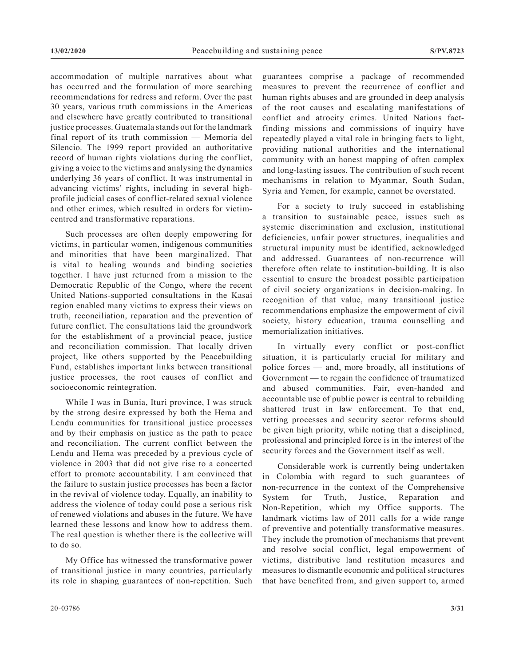accommodation of multiple narratives about what has occurred and the formulation of more searching recommendations for redress and reform. Over the past 30 years, various truth commissions in the Americas and elsewhere have greatly contributed to transitional justice processes. Guatemala stands out for the landmark final report of its truth commission — Memoria del Silencio. The 1999 report provided an authoritative record of human rights violations during the conflict, giving a voice to the victims and analysing the dynamics underlying 36 years of conflict. It was instrumental in advancing victims' rights, including in several highprofile judicial cases of conflict-related sexual violence and other crimes, which resulted in orders for victimcentred and transformative reparations.

Such processes are often deeply empowering for victims, in particular women, indigenous communities and minorities that have been marginalized. That is vital to healing wounds and binding societies together. I have just returned from a mission to the Democratic Republic of the Congo, where the recent United Nations-supported consultations in the Kasai region enabled many victims to express their views on truth, reconciliation, reparation and the prevention of future conflict. The consultations laid the groundwork for the establishment of a provincial peace, justice and reconciliation commission. That locally driven project, like others supported by the Peacebuilding Fund, establishes important links between transitional justice processes, the root causes of conflict and socioeconomic reintegration.

While I was in Bunia, Ituri province, I was struck by the strong desire expressed by both the Hema and Lendu communities for transitional justice processes and by their emphasis on justice as the path to peace and reconciliation. The current conflict between the Lendu and Hema was preceded by a previous cycle of violence in 2003 that did not give rise to a concerted effort to promote accountability. I am convinced that the failure to sustain justice processes has been a factor in the revival of violence today. Equally, an inability to address the violence of today could pose a serious risk of renewed violations and abuses in the future. We have learned these lessons and know how to address them. The real question is whether there is the collective will to do so.

My Office has witnessed the transformative power of transitional justice in many countries, particularly its role in shaping guarantees of non-repetition. Such guarantees comprise a package of recommended measures to prevent the recurrence of conflict and human rights abuses and are grounded in deep analysis of the root causes and escalating manifestations of conflict and atrocity crimes. United Nations factfinding missions and commissions of inquiry have repeatedly played a vital role in bringing facts to light, providing national authorities and the international community with an honest mapping of often complex and long-lasting issues. The contribution of such recent mechanisms in relation to Myanmar, South Sudan, Syria and Yemen, for example, cannot be overstated.

For a society to truly succeed in establishing a transition to sustainable peace, issues such as systemic discrimination and exclusion, institutional deficiencies, unfair power structures, inequalities and structural impunity must be identified, acknowledged and addressed. Guarantees of non-recurrence will therefore often relate to institution-building. It is also essential to ensure the broadest possible participation of civil society organizations in decision-making. In recognition of that value, many transitional justice recommendations emphasize the empowerment of civil society, history education, trauma counselling and memorialization initiatives.

In virtually every conflict or post-conflict situation, it is particularly crucial for military and police forces — and, more broadly, all institutions of Government — to regain the confidence of traumatized and abused communities. Fair, even-handed and accountable use of public power is central to rebuilding shattered trust in law enforcement. To that end, vetting processes and security sector reforms should be given high priority, while noting that a disciplined, professional and principled force is in the interest of the security forces and the Government itself as well.

Considerable work is currently being undertaken in Colombia with regard to such guarantees of non-recurrence in the context of the Comprehensive System for Truth, Justice, Reparation and Non-Repetition, which my Office supports. The landmark victims law of 2011 calls for a wide range of preventive and potentially transformative measures. They include the promotion of mechanisms that prevent and resolve social conflict, legal empowerment of victims, distributive land restitution measures and measures to dismantle economic and political structures that have benefited from, and given support to, armed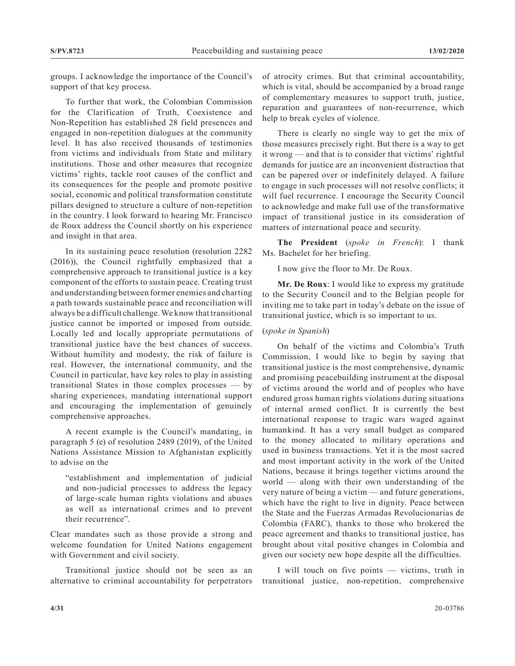groups. I acknowledge the importance of the Council's support of that key process.

To further that work, the Colombian Commission for the Clarification of Truth, Coexistence and Non-Repetition has established 28 field presences and engaged in non-repetition dialogues at the community level. It has also received thousands of testimonies from victims and individuals from State and military institutions. Those and other measures that recognize victims' rights, tackle root causes of the conflict and its consequences for the people and promote positive social, economic and political transformation constitute pillars designed to structure a culture of non-repetition in the country. I look forward to hearing Mr. Francisco de Roux address the Council shortly on his experience and insight in that area.

In its sustaining peace resolution (resolution 2282 (2016)), the Council rightfully emphasized that a comprehensive approach to transitional justice is a key component of the efforts to sustain peace. Creating trust and understanding between former enemies and charting a path towards sustainable peace and reconciliation will always be a difficult challenge. We know that transitional justice cannot be imported or imposed from outside. Locally led and locally appropriate permutations of transitional justice have the best chances of success. Without humility and modesty, the risk of failure is real. However, the international community, and the Council in particular, have key roles to play in assisting transitional States in those complex processes — by sharing experiences, mandating international support and encouraging the implementation of genuinely comprehensive approaches.

A recent example is the Council's mandating, in paragraph 5 (e) of resolution 2489 (2019), of the United Nations Assistance Mission to Afghanistan explicitly to advise on the

"establishment and implementation of judicial and non-judicial processes to address the legacy of large-scale human rights violations and abuses as well as international crimes and to prevent their recurrence".

Clear mandates such as those provide a strong and welcome foundation for United Nations engagement with Government and civil society.

Transitional justice should not be seen as an alternative to criminal accountability for perpetrators of atrocity crimes. But that criminal accountability, which is vital, should be accompanied by a broad range of complementary measures to support truth, justice, reparation and guarantees of non-recurrence, which help to break cycles of violence.

There is clearly no single way to get the mix of those measures precisely right. But there is a way to get it wrong — and that is to consider that victims' rightful demands for justice are an inconvenient distraction that can be papered over or indefinitely delayed. A failure to engage in such processes will not resolve conflicts; it will fuel recurrence. I encourage the Security Council to acknowledge and make full use of the transformative impact of transitional justice in its consideration of matters of international peace and security.

**The President** (*spoke in French*): I thank Ms. Bachelet for her briefing.

I now give the floor to Mr. De Roux.

**Mr. De Roux**: I would like to express my gratitude to the Security Council and to the Belgian people for inviting me to take part in today's debate on the issue of transitional justice, which is so important to us.

## (*spoke in Spanish*)

On behalf of the victims and Colombia's Truth Commission, I would like to begin by saying that transitional justice is the most comprehensive, dynamic and promising peacebuilding instrument at the disposal of victims around the world and of peoples who have endured gross human rights violations during situations of internal armed conflict. It is currently the best international response to tragic wars waged against humankind. It has a very small budget as compared to the money allocated to military operations and used in business transactions. Yet it is the most sacred and most important activity in the work of the United Nations, because it brings together victims around the world — along with their own understanding of the very nature of being a victim — and future generations, which have the right to live in dignity. Peace between the State and the Fuerzas Armadas Revolucionarias de Colombia (FARC), thanks to those who brokered the peace agreement and thanks to transitional justice, has brought about vital positive changes in Colombia and given our society new hope despite all the difficulties.

I will touch on five points — victims, truth in transitional justice, non-repetition, comprehensive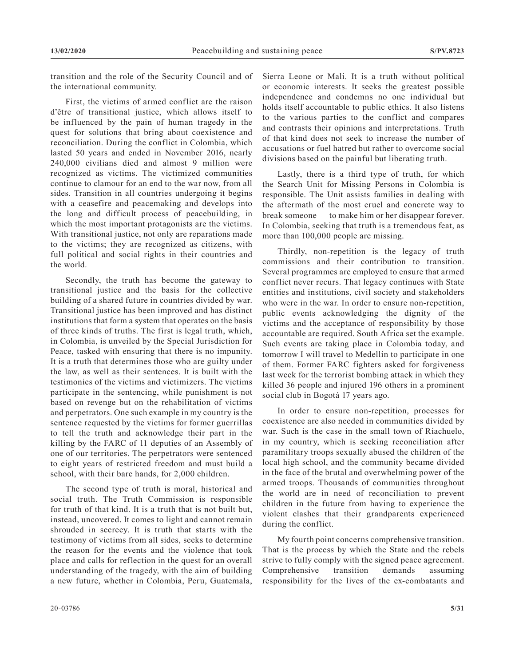transition and the role of the Security Council and of the international community.

First, the victims of armed conflict are the raison d'être of transitional justice, which allows itself to be influenced by the pain of human tragedy in the quest for solutions that bring about coexistence and reconciliation. During the conflict in Colombia, which lasted 50 years and ended in November 2016, nearly 240,000 civilians died and almost 9 million were recognized as victims. The victimized communities continue to clamour for an end to the war now, from all sides. Transition in all countries undergoing it begins with a ceasefire and peacemaking and develops into the long and difficult process of peacebuilding, in which the most important protagonists are the victims. With transitional justice, not only are reparations made to the victims; they are recognized as citizens, with full political and social rights in their countries and the world.

Secondly, the truth has become the gateway to transitional justice and the basis for the collective building of a shared future in countries divided by war. Transitional justice has been improved and has distinct institutions that form a system that operates on the basis of three kinds of truths. The first is legal truth, which, in Colombia, is unveiled by the Special Jurisdiction for Peace, tasked with ensuring that there is no impunity. It is a truth that determines those who are guilty under the law, as well as their sentences. It is built with the testimonies of the victims and victimizers. The victims participate in the sentencing, while punishment is not based on revenge but on the rehabilitation of victims and perpetrators. One such example in my country is the sentence requested by the victims for former guerrillas to tell the truth and acknowledge their part in the killing by the FARC of 11 deputies of an Assembly of one of our territories. The perpetrators were sentenced to eight years of restricted freedom and must build a school, with their bare hands, for 2,000 children.

The second type of truth is moral, historical and social truth. The Truth Commission is responsible for truth of that kind. It is a truth that is not built but, instead, uncovered. It comes to light and cannot remain shrouded in secrecy. It is truth that starts with the testimony of victims from all sides, seeks to determine the reason for the events and the violence that took place and calls for reflection in the quest for an overall understanding of the tragedy, with the aim of building a new future, whether in Colombia, Peru, Guatemala, Sierra Leone or Mali. It is a truth without political or economic interests. It seeks the greatest possible independence and condemns no one individual but holds itself accountable to public ethics. It also listens to the various parties to the conflict and compares and contrasts their opinions and interpretations. Truth of that kind does not seek to increase the number of accusations or fuel hatred but rather to overcome social divisions based on the painful but liberating truth.

Lastly, there is a third type of truth, for which the Search Unit for Missing Persons in Colombia is responsible. The Unit assists families in dealing with the aftermath of the most cruel and concrete way to break someone — to make him or her disappear forever. In Colombia, seeking that truth is a tremendous feat, as more than 100,000 people are missing.

Thirdly, non-repetition is the legacy of truth commissions and their contribution to transition. Several programmes are employed to ensure that armed conflict never recurs. That legacy continues with State entities and institutions, civil society and stakeholders who were in the war. In order to ensure non-repetition, public events acknowledging the dignity of the victims and the acceptance of responsibility by those accountable are required. South Africa set the example. Such events are taking place in Colombia today, and tomorrow I will travel to Medellín to participate in one of them. Former FARC fighters asked for forgiveness last week for the terrorist bombing attack in which they killed 36 people and injured 196 others in a prominent social club in Bogotá 17 years ago.

In order to ensure non-repetition, processes for coexistence are also needed in communities divided by war. Such is the case in the small town of Riachuelo, in my country, which is seeking reconciliation after paramilitary troops sexually abused the children of the local high school, and the community became divided in the face of the brutal and overwhelming power of the armed troops. Thousands of communities throughout the world are in need of reconciliation to prevent children in the future from having to experience the violent clashes that their grandparents experienced during the conflict.

My fourth point concerns comprehensive transition. That is the process by which the State and the rebels strive to fully comply with the signed peace agreement. Comprehensive transition demands assuming responsibility for the lives of the ex-combatants and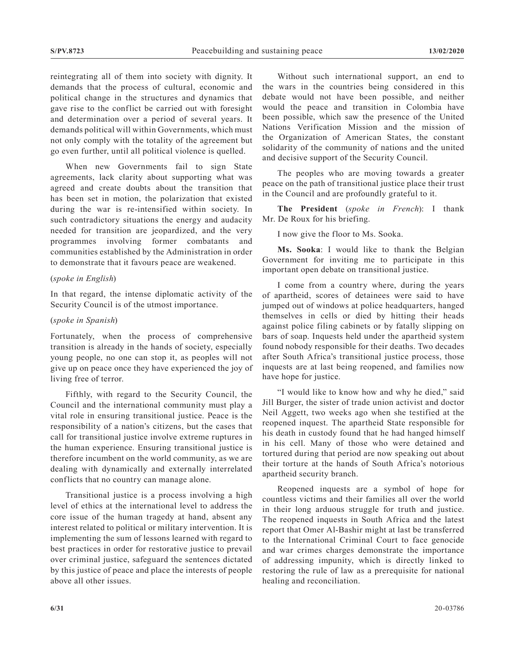reintegrating all of them into society with dignity. It demands that the process of cultural, economic and political change in the structures and dynamics that gave rise to the conflict be carried out with foresight and determination over a period of several years. It demands political will within Governments, which must not only comply with the totality of the agreement but go even further, until all political violence is quelled.

When new Governments fail to sign State agreements, lack clarity about supporting what was agreed and create doubts about the transition that has been set in motion, the polarization that existed during the war is re-intensified within society. In such contradictory situations the energy and audacity needed for transition are jeopardized, and the very programmes involving former combatants and communities established by the Administration in order to demonstrate that it favours peace are weakened.

## (*spoke in English*)

In that regard, the intense diplomatic activity of the Security Council is of the utmost importance.

## (*spoke in Spanish*)

Fortunately, when the process of comprehensive transition is already in the hands of society, especially young people, no one can stop it, as peoples will not give up on peace once they have experienced the joy of living free of terror.

Fifthly, with regard to the Security Council, the Council and the international community must play a vital role in ensuring transitional justice. Peace is the responsibility of a nation's citizens, but the cases that call for transitional justice involve extreme ruptures in the human experience. Ensuring transitional justice is therefore incumbent on the world community, as we are dealing with dynamically and externally interrelated conflicts that no country can manage alone.

Transitional justice is a process involving a high level of ethics at the international level to address the core issue of the human tragedy at hand, absent any interest related to political or military intervention. It is implementing the sum of lessons learned with regard to best practices in order for restorative justice to prevail over criminal justice, safeguard the sentences dictated by this justice of peace and place the interests of people above all other issues.

Without such international support, an end to the wars in the countries being considered in this debate would not have been possible, and neither would the peace and transition in Colombia have been possible, which saw the presence of the United Nations Verification Mission and the mission of the Organization of American States, the constant solidarity of the community of nations and the united and decisive support of the Security Council.

The peoples who are moving towards a greater peace on the path of transitional justice place their trust in the Council and are profoundly grateful to it.

**The President** (*spoke in French*): I thank Mr. De Roux for his briefing.

I now give the floor to Ms. Sooka.

**Ms. Sooka**: I would like to thank the Belgian Government for inviting me to participate in this important open debate on transitional justice.

I come from a country where, during the years of apartheid, scores of detainees were said to have jumped out of windows at police headquarters, hanged themselves in cells or died by hitting their heads against police filing cabinets or by fatally slipping on bars of soap. Inquests held under the apartheid system found nobody responsible for their deaths. Two decades after South Africa's transitional justice process, those inquests are at last being reopened, and families now have hope for justice.

"I would like to know how and why he died," said Jill Burger, the sister of trade union activist and doctor Neil Aggett, two weeks ago when she testified at the reopened inquest. The apartheid State responsible for his death in custody found that he had hanged himself in his cell. Many of those who were detained and tortured during that period are now speaking out about their torture at the hands of South Africa's notorious apartheid security branch.

Reopened inquests are a symbol of hope for countless victims and their families all over the world in their long arduous struggle for truth and justice. The reopened inquests in South Africa and the latest report that Omer Al-Bashir might at last be transferred to the International Criminal Court to face genocide and war crimes charges demonstrate the importance of addressing impunity, which is directly linked to restoring the rule of law as a prerequisite for national healing and reconciliation.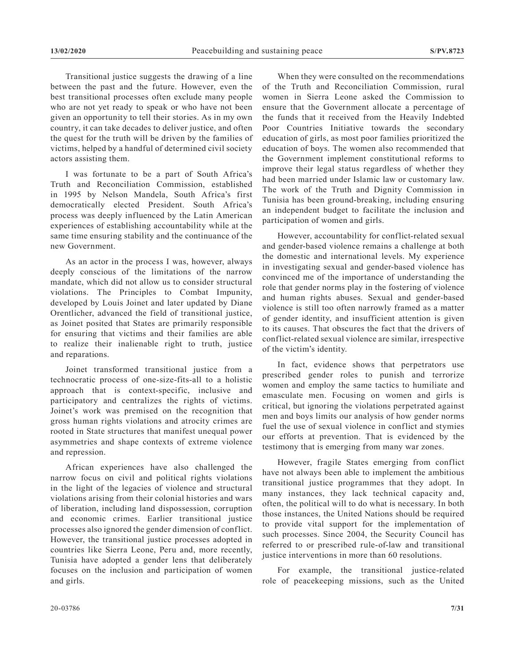Transitional justice suggests the drawing of a line between the past and the future. However, even the best transitional processes often exclude many people who are not yet ready to speak or who have not been given an opportunity to tell their stories. As in my own country, it can take decades to deliver justice, and often the quest for the truth will be driven by the families of victims, helped by a handful of determined civil society actors assisting them.

I was fortunate to be a part of South Africa's Truth and Reconciliation Commission, established in 1995 by Nelson Mandela, South Africa's first democratically elected President. South Africa's process was deeply influenced by the Latin American experiences of establishing accountability while at the same time ensuring stability and the continuance of the new Government.

As an actor in the process I was, however, always deeply conscious of the limitations of the narrow mandate, which did not allow us to consider structural violations. The Principles to Combat Impunity, developed by Louis Joinet and later updated by Diane Orentlicher, advanced the field of transitional justice, as Joinet posited that States are primarily responsible for ensuring that victims and their families are able to realize their inalienable right to truth, justice and reparations.

Joinet transformed transitional justice from a technocratic process of one-size-fits-all to a holistic approach that is context-specific, inclusive and participatory and centralizes the rights of victims. Joinet's work was premised on the recognition that gross human rights violations and atrocity crimes are rooted in State structures that manifest unequal power asymmetries and shape contexts of extreme violence and repression.

African experiences have also challenged the narrow focus on civil and political rights violations in the light of the legacies of violence and structural violations arising from their colonial histories and wars of liberation, including land dispossession, corruption and economic crimes. Earlier transitional justice processes also ignored the gender dimension of conflict. However, the transitional justice processes adopted in countries like Sierra Leone, Peru and, more recently, Tunisia have adopted a gender lens that deliberately focuses on the inclusion and participation of women and girls.

When they were consulted on the recommendations of the Truth and Reconciliation Commission, rural women in Sierra Leone asked the Commission to ensure that the Government allocate a percentage of the funds that it received from the Heavily Indebted Poor Countries Initiative towards the secondary education of girls, as most poor families prioritized the education of boys. The women also recommended that the Government implement constitutional reforms to improve their legal status regardless of whether they had been married under Islamic law or customary law. The work of the Truth and Dignity Commission in Tunisia has been ground-breaking, including ensuring an independent budget to facilitate the inclusion and participation of women and girls.

However, accountability for conflict-related sexual and gender-based violence remains a challenge at both the domestic and international levels. My experience in investigating sexual and gender-based violence has convinced me of the importance of understanding the role that gender norms play in the fostering of violence and human rights abuses. Sexual and gender-based violence is still too often narrowly framed as a matter of gender identity, and insufficient attention is given to its causes. That obscures the fact that the drivers of conflict-related sexual violence are similar, irrespective of the victim's identity.

In fact, evidence shows that perpetrators use prescribed gender roles to punish and terrorize women and employ the same tactics to humiliate and emasculate men. Focusing on women and girls is critical, but ignoring the violations perpetrated against men and boys limits our analysis of how gender norms fuel the use of sexual violence in conflict and stymies our efforts at prevention. That is evidenced by the testimony that is emerging from many war zones.

However, fragile States emerging from conflict have not always been able to implement the ambitious transitional justice programmes that they adopt. In many instances, they lack technical capacity and, often, the political will to do what is necessary. In both those instances, the United Nations should be required to provide vital support for the implementation of such processes. Since 2004, the Security Council has referred to or prescribed rule-of-law and transitional justice interventions in more than 60 resolutions.

For example, the transitional justice-related role of peacekeeping missions, such as the United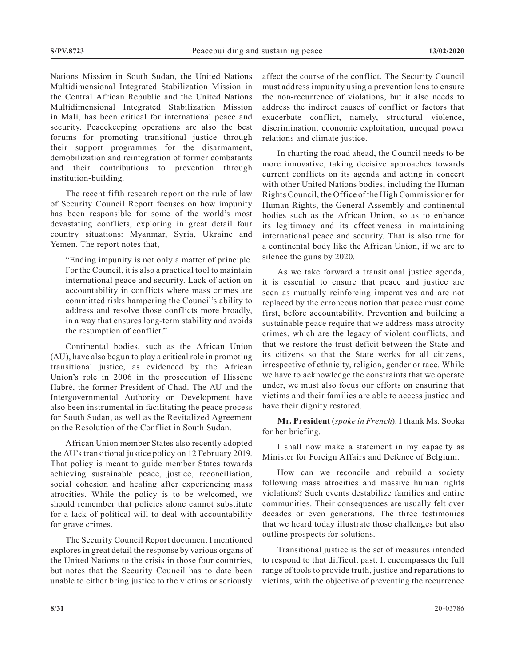Nations Mission in South Sudan, the United Nations Multidimensional Integrated Stabilization Mission in the Central African Republic and the United Nations Multidimensional Integrated Stabilization Mission in Mali, has been critical for international peace and security. Peacekeeping operations are also the best forums for promoting transitional justice through their support programmes for the disarmament, demobilization and reintegration of former combatants and their contributions to prevention through institution-building.

The recent fifth research report on the rule of law of Security Council Report focuses on how impunity has been responsible for some of the world's most devastating conflicts, exploring in great detail four country situations: Myanmar, Syria, Ukraine and Yemen. The report notes that,

"Ending impunity is not only a matter of principle. For the Council, it is also a practical tool to maintain international peace and security. Lack of action on accountability in conflicts where mass crimes are committed risks hampering the Council's ability to address and resolve those conflicts more broadly, in a way that ensures long-term stability and avoids the resumption of conflict."

Continental bodies, such as the African Union (AU), have also begun to play a critical role in promoting transitional justice, as evidenced by the African Union's role in 2006 in the prosecution of Hissène Habré, the former President of Chad. The AU and the Intergovernmental Authority on Development have also been instrumental in facilitating the peace process for South Sudan, as well as the Revitalized Agreement on the Resolution of the Conflict in South Sudan.

African Union member States also recently adopted the AU's transitional justice policy on 12 February 2019. That policy is meant to guide member States towards achieving sustainable peace, justice, reconciliation, social cohesion and healing after experiencing mass atrocities. While the policy is to be welcomed, we should remember that policies alone cannot substitute for a lack of political will to deal with accountability for grave crimes.

The Security Council Report document I mentioned explores in great detail the response by various organs of the United Nations to the crisis in those four countries, but notes that the Security Council has to date been unable to either bring justice to the victims or seriously

affect the course of the conflict. The Security Council must address impunity using a prevention lens to ensure the non-recurrence of violations, but it also needs to address the indirect causes of conflict or factors that exacerbate conflict, namely, structural violence, discrimination, economic exploitation, unequal power relations and climate justice.

In charting the road ahead, the Council needs to be more innovative, taking decisive approaches towards current conflicts on its agenda and acting in concert with other United Nations bodies, including the Human Rights Council, the Office of the High Commissioner for Human Rights, the General Assembly and continental bodies such as the African Union, so as to enhance its legitimacy and its effectiveness in maintaining international peace and security. That is also true for a continental body like the African Union, if we are to silence the guns by 2020.

As we take forward a transitional justice agenda, it is essential to ensure that peace and justice are seen as mutually reinforcing imperatives and are not replaced by the erroneous notion that peace must come first, before accountability. Prevention and building a sustainable peace require that we address mass atrocity crimes, which are the legacy of violent conflicts, and that we restore the trust deficit between the State and its citizens so that the State works for all citizens, irrespective of ethnicity, religion, gender or race. While we have to acknowledge the constraints that we operate under, we must also focus our efforts on ensuring that victims and their families are able to access justice and have their dignity restored.

**Mr. President** (*spoke in French*): I thank Ms. Sooka for her briefing.

I shall now make a statement in my capacity as Minister for Foreign Affairs and Defence of Belgium.

How can we reconcile and rebuild a society following mass atrocities and massive human rights violations? Such events destabilize families and entire communities. Their consequences are usually felt over decades or even generations. The three testimonies that we heard today illustrate those challenges but also outline prospects for solutions.

Transitional justice is the set of measures intended to respond to that difficult past. It encompasses the full range of tools to provide truth, justice and reparations to victims, with the objective of preventing the recurrence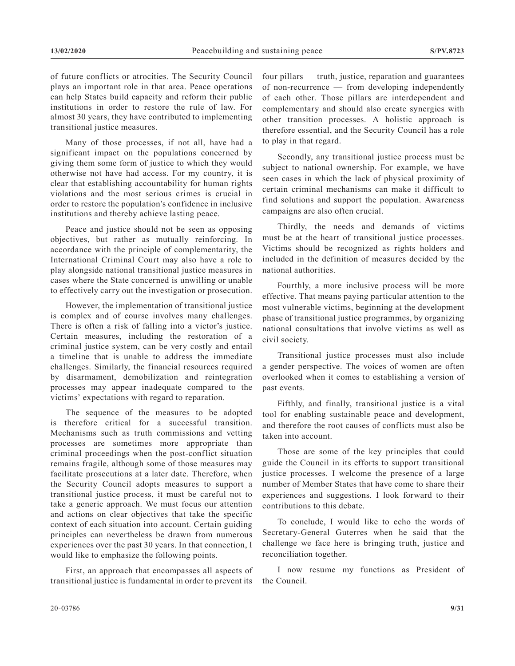of future conflicts or atrocities. The Security Council plays an important role in that area. Peace operations can help States build capacity and reform their public institutions in order to restore the rule of law. For almost 30 years, they have contributed to implementing transitional justice measures.

Many of those processes, if not all, have had a significant impact on the populations concerned by giving them some form of justice to which they would otherwise not have had access. For my country, it is clear that establishing accountability for human rights violations and the most serious crimes is crucial in order to restore the population's confidence in inclusive institutions and thereby achieve lasting peace.

Peace and justice should not be seen as opposing objectives, but rather as mutually reinforcing. In accordance with the principle of complementarity, the International Criminal Court may also have a role to play alongside national transitional justice measures in cases where the State concerned is unwilling or unable to effectively carry out the investigation or prosecution.

However, the implementation of transitional justice is complex and of course involves many challenges. There is often a risk of falling into a victor's justice. Certain measures, including the restoration of a criminal justice system, can be very costly and entail a timeline that is unable to address the immediate challenges. Similarly, the financial resources required by disarmament, demobilization and reintegration processes may appear inadequate compared to the victims' expectations with regard to reparation.

The sequence of the measures to be adopted is therefore critical for a successful transition. Mechanisms such as truth commissions and vetting processes are sometimes more appropriate than criminal proceedings when the post-conflict situation remains fragile, although some of those measures may facilitate prosecutions at a later date. Therefore, when the Security Council adopts measures to support a transitional justice process, it must be careful not to take a generic approach. We must focus our attention and actions on clear objectives that take the specific context of each situation into account. Certain guiding principles can nevertheless be drawn from numerous experiences over the past 30 years. In that connection, I would like to emphasize the following points.

First, an approach that encompasses all aspects of transitional justice is fundamental in order to prevent its

four pillars — truth, justice, reparation and guarantees of non-recurrence — from developing independently of each other. Those pillars are interdependent and complementary and should also create synergies with other transition processes. A holistic approach is therefore essential, and the Security Council has a role to play in that regard.

Secondly, any transitional justice process must be subject to national ownership. For example, we have seen cases in which the lack of physical proximity of certain criminal mechanisms can make it difficult to find solutions and support the population. Awareness campaigns are also often crucial.

Thirdly, the needs and demands of victims must be at the heart of transitional justice processes. Victims should be recognized as rights holders and included in the definition of measures decided by the national authorities.

Fourthly, a more inclusive process will be more effective. That means paying particular attention to the most vulnerable victims, beginning at the development phase of transitional justice programmes, by organizing national consultations that involve victims as well as civil society.

Transitional justice processes must also include a gender perspective. The voices of women are often overlooked when it comes to establishing a version of past events.

Fifthly, and finally, transitional justice is a vital tool for enabling sustainable peace and development, and therefore the root causes of conflicts must also be taken into account.

Those are some of the key principles that could guide the Council in its efforts to support transitional justice processes. I welcome the presence of a large number of Member States that have come to share their experiences and suggestions. I look forward to their contributions to this debate.

To conclude, I would like to echo the words of Secretary-General Guterres when he said that the challenge we face here is bringing truth, justice and reconciliation together.

I now resume my functions as President of the Council.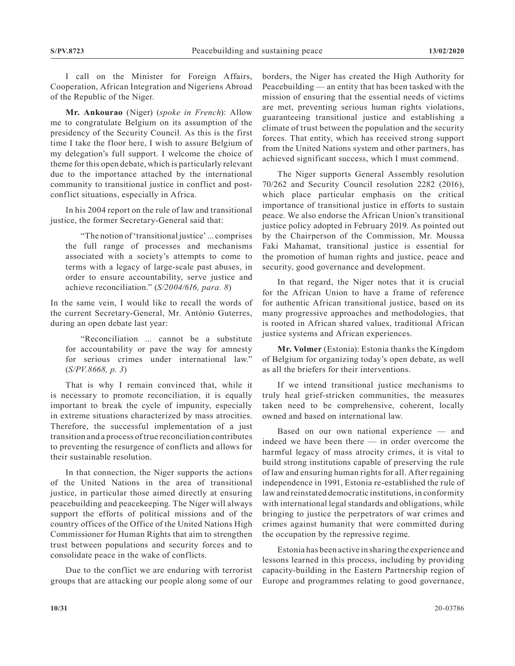I call on the Minister for Foreign Affairs, Cooperation, African Integration and Nigeriens Abroad of the Republic of the Niger.

**Mr. Ankourao** (Niger) (*spoke in French*): Allow me to congratulate Belgium on its assumption of the presidency of the Security Council. As this is the first time I take the floor here, I wish to assure Belgium of my delegation's full support. I welcome the choice of theme for this open debate, which is particularly relevant due to the importance attached by the international community to transitional justice in conflict and postconflict situations, especially in Africa.

In his 2004 report on the rule of law and transitional justice, the former Secretary-General said that:

"The notion of 'transitional justice' ... comprises the full range of processes and mechanisms associated with a society's attempts to come to terms with a legacy of large-scale past abuses, in order to ensure accountability, serve justice and achieve reconciliation." (*S/2004/616, para. 8*)

In the same vein, I would like to recall the words of the current Secretary-General, Mr. António Guterres, during an open debate last year:

"Reconciliation ... cannot be a substitute for accountability or pave the way for amnesty for serious crimes under international law." (*S/PV.8668, p. 3*)

That is why I remain convinced that, while it is necessary to promote reconciliation, it is equally important to break the cycle of impunity, especially in extreme situations characterized by mass atrocities. Therefore, the successful implementation of a just transition and a process of true reconciliation contributes to preventing the resurgence of conflicts and allows for their sustainable resolution.

In that connection, the Niger supports the actions of the United Nations in the area of transitional justice, in particular those aimed directly at ensuring peacebuilding and peacekeeping. The Niger will always support the efforts of political missions and of the country offices of the Office of the United Nations High Commissioner for Human Rights that aim to strengthen trust between populations and security forces and to consolidate peace in the wake of conflicts.

Due to the conflict we are enduring with terrorist groups that are attacking our people along some of our borders, the Niger has created the High Authority for Peacebuilding — an entity that has been tasked with the mission of ensuring that the essential needs of victims are met, preventing serious human rights violations, guaranteeing transitional justice and establishing a climate of trust between the population and the security forces. That entity, which has received strong support from the United Nations system and other partners, has achieved significant success, which I must commend.

The Niger supports General Assembly resolution 70/262 and Security Council resolution 2282 (2016), which place particular emphasis on the critical importance of transitional justice in efforts to sustain peace. We also endorse the African Union's transitional justice policy adopted in February 2019. As pointed out by the Chairperson of the Commission, Mr. Moussa Faki Mahamat, transitional justice is essential for the promotion of human rights and justice, peace and security, good governance and development.

In that regard, the Niger notes that it is crucial for the African Union to have a frame of reference for authentic African transitional justice, based on its many progressive approaches and methodologies, that is rooted in African shared values, traditional African justice systems and African experiences.

**Mr. Volmer** (Estonia): Estonia thanks the Kingdom of Belgium for organizing today's open debate, as well as all the briefers for their interventions.

If we intend transitional justice mechanisms to truly heal grief-stricken communities, the measures taken need to be comprehensive, coherent, locally owned and based on international law.

Based on our own national experience — and indeed we have been there — in order overcome the harmful legacy of mass atrocity crimes, it is vital to build strong institutions capable of preserving the rule of law and ensuring human rights for all. After regaining independence in 1991, Estonia re-established the rule of law and reinstated democratic institutions, in conformity with international legal standards and obligations, while bringing to justice the perpetrators of war crimes and crimes against humanity that were committed during the occupation by the repressive regime.

Estonia has been active in sharing the experience and lessons learned in this process, including by providing capacity-building in the Eastern Partnership region of Europe and programmes relating to good governance,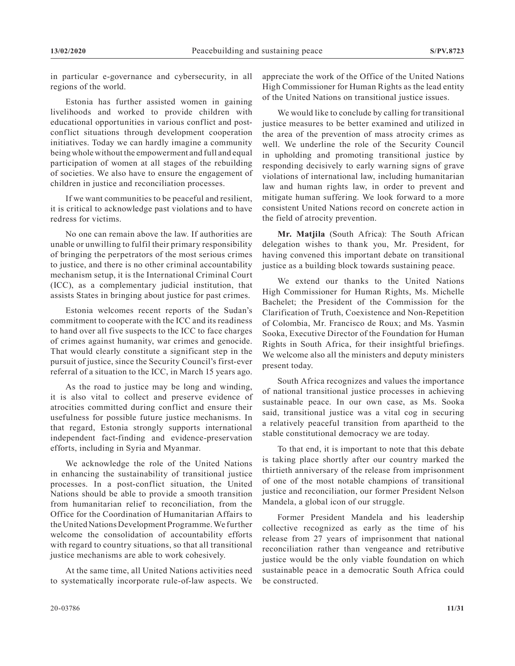in particular e-governance and cybersecurity, in all regions of the world.

Estonia has further assisted women in gaining livelihoods and worked to provide children with educational opportunities in various conflict and postconflict situations through development cooperation initiatives. Today we can hardly imagine a community being whole without the empowerment and full and equal participation of women at all stages of the rebuilding of societies. We also have to ensure the engagement of children in justice and reconciliation processes.

If we want communities to be peaceful and resilient, it is critical to acknowledge past violations and to have redress for victims.

No one can remain above the law. If authorities are unable or unwilling to fulfil their primary responsibility of bringing the perpetrators of the most serious crimes to justice, and there is no other criminal accountability mechanism setup, it is the International Criminal Court (ICC), as a complementary judicial institution, that assists States in bringing about justice for past crimes.

Estonia welcomes recent reports of the Sudan's commitment to cooperate with the ICC and its readiness to hand over all five suspects to the ICC to face charges of crimes against humanity, war crimes and genocide. That would clearly constitute a significant step in the pursuit of justice, since the Security Council's first-ever referral of a situation to the ICC, in March 15 years ago.

As the road to justice may be long and winding, it is also vital to collect and preserve evidence of atrocities committed during conflict and ensure their usefulness for possible future justice mechanisms. In that regard, Estonia strongly supports international independent fact-finding and evidence-preservation efforts, including in Syria and Myanmar.

We acknowledge the role of the United Nations in enhancing the sustainability of transitional justice processes. In a post-conflict situation, the United Nations should be able to provide a smooth transition from humanitarian relief to reconciliation, from the Office for the Coordination of Humanitarian Affairs to the United Nations Development Programme. We further welcome the consolidation of accountability efforts with regard to country situations, so that all transitional justice mechanisms are able to work cohesively.

At the same time, all United Nations activities need to systematically incorporate rule-of-law aspects. We appreciate the work of the Office of the United Nations High Commissioner for Human Rights as the lead entity of the United Nations on transitional justice issues.

We would like to conclude by calling for transitional justice measures to be better examined and utilized in the area of the prevention of mass atrocity crimes as well. We underline the role of the Security Council in upholding and promoting transitional justice by responding decisively to early warning signs of grave violations of international law, including humanitarian law and human rights law, in order to prevent and mitigate human suffering. We look forward to a more consistent United Nations record on concrete action in the field of atrocity prevention.

**Mr. Matjila** (South Africa): The South African delegation wishes to thank you, Mr. President, for having convened this important debate on transitional justice as a building block towards sustaining peace.

We extend our thanks to the United Nations High Commissioner for Human Rights, Ms. Michelle Bachelet; the President of the Commission for the Clarification of Truth, Coexistence and Non-Repetition of Colombia, Mr. Francisco de Roux; and Ms. Yasmin Sooka, Executive Director of the Foundation for Human Rights in South Africa, for their insightful briefings. We welcome also all the ministers and deputy ministers present today.

South Africa recognizes and values the importance of national transitional justice processes in achieving sustainable peace. In our own case, as Ms. Sooka said, transitional justice was a vital cog in securing a relatively peaceful transition from apartheid to the stable constitutional democracy we are today.

To that end, it is important to note that this debate is taking place shortly after our country marked the thirtieth anniversary of the release from imprisonment of one of the most notable champions of transitional justice and reconciliation, our former President Nelson Mandela, a global icon of our struggle.

Former President Mandela and his leadership collective recognized as early as the time of his release from 27 years of imprisonment that national reconciliation rather than vengeance and retributive justice would be the only viable foundation on which sustainable peace in a democratic South Africa could be constructed.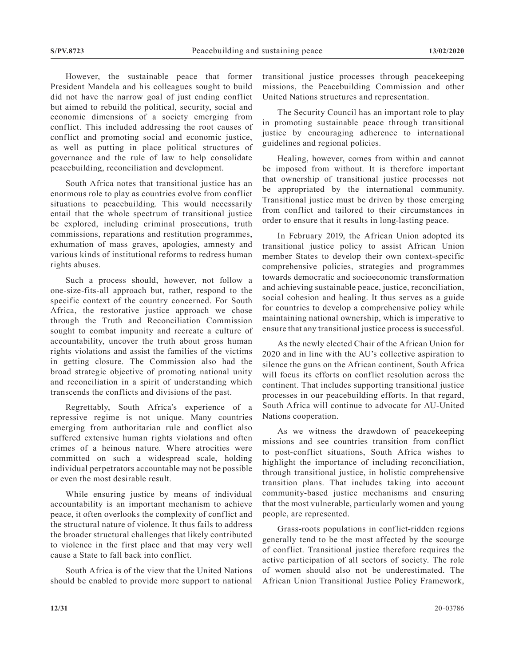However, the sustainable peace that former President Mandela and his colleagues sought to build did not have the narrow goal of just ending conflict but aimed to rebuild the political, security, social and economic dimensions of a society emerging from conflict. This included addressing the root causes of conflict and promoting social and economic justice, as well as putting in place political structures of governance and the rule of law to help consolidate peacebuilding, reconciliation and development.

South Africa notes that transitional justice has an enormous role to play as countries evolve from conflict situations to peacebuilding. This would necessarily entail that the whole spectrum of transitional justice be explored, including criminal prosecutions, truth commissions, reparations and restitution programmes, exhumation of mass graves, apologies, amnesty and various kinds of institutional reforms to redress human rights abuses.

Such a process should, however, not follow a one-size-fits-all approach but, rather, respond to the specific context of the country concerned. For South Africa, the restorative justice approach we chose through the Truth and Reconciliation Commission sought to combat impunity and recreate a culture of accountability, uncover the truth about gross human rights violations and assist the families of the victims in getting closure. The Commission also had the broad strategic objective of promoting national unity and reconciliation in a spirit of understanding which transcends the conflicts and divisions of the past.

Regrettably, South Africa's experience of a repressive regime is not unique. Many countries emerging from authoritarian rule and conflict also suffered extensive human rights violations and often crimes of a heinous nature. Where atrocities were committed on such a widespread scale, holding individual perpetrators accountable may not be possible or even the most desirable result.

While ensuring justice by means of individual accountability is an important mechanism to achieve peace, it often overlooks the complexity of conflict and the structural nature of violence. It thus fails to address the broader structural challenges that likely contributed to violence in the first place and that may very well cause a State to fall back into conflict.

South Africa is of the view that the United Nations should be enabled to provide more support to national transitional justice processes through peacekeeping missions, the Peacebuilding Commission and other United Nations structures and representation.

The Security Council has an important role to play in promoting sustainable peace through transitional justice by encouraging adherence to international guidelines and regional policies.

Healing, however, comes from within and cannot be imposed from without. It is therefore important that ownership of transitional justice processes not be appropriated by the international community. Transitional justice must be driven by those emerging from conflict and tailored to their circumstances in order to ensure that it results in long-lasting peace.

In February 2019, the African Union adopted its transitional justice policy to assist African Union member States to develop their own context-specific comprehensive policies, strategies and programmes towards democratic and socioeconomic transformation and achieving sustainable peace, justice, reconciliation, social cohesion and healing. It thus serves as a guide for countries to develop a comprehensive policy while maintaining national ownership, which is imperative to ensure that any transitional justice process is successful.

As the newly elected Chair of the African Union for 2020 and in line with the AU's collective aspiration to silence the guns on the African continent, South Africa will focus its efforts on conflict resolution across the continent. That includes supporting transitional justice processes in our peacebuilding efforts. In that regard, South Africa will continue to advocate for AU-United Nations cooperation.

As we witness the drawdown of peacekeeping missions and see countries transition from conflict to post-conflict situations, South Africa wishes to highlight the importance of including reconciliation, through transitional justice, in holistic comprehensive transition plans. That includes taking into account community-based justice mechanisms and ensuring that the most vulnerable, particularly women and young people, are represented.

Grass-roots populations in conflict-ridden regions generally tend to be the most affected by the scourge of conflict. Transitional justice therefore requires the active participation of all sectors of society. The role of women should also not be underestimated. The African Union Transitional Justice Policy Framework,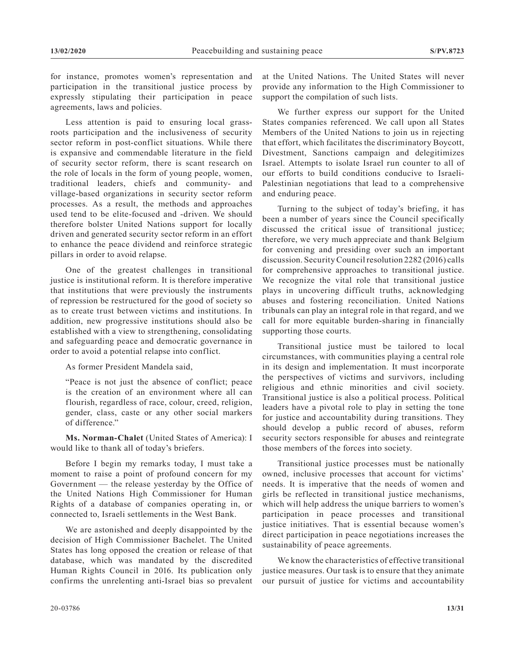for instance, promotes women's representation and participation in the transitional justice process by expressly stipulating their participation in peace agreements, laws and policies.

Less attention is paid to ensuring local grassroots participation and the inclusiveness of security sector reform in post-conflict situations. While there is expansive and commendable literature in the field of security sector reform, there is scant research on the role of locals in the form of young people, women, traditional leaders, chiefs and community- and village-based organizations in security sector reform processes. As a result, the methods and approaches used tend to be elite-focused and -driven. We should therefore bolster United Nations support for locally driven and generated security sector reform in an effort to enhance the peace dividend and reinforce strategic pillars in order to avoid relapse.

One of the greatest challenges in transitional justice is institutional reform. It is therefore imperative that institutions that were previously the instruments of repression be restructured for the good of society so as to create trust between victims and institutions. In addition, new progressive institutions should also be established with a view to strengthening, consolidating and safeguarding peace and democratic governance in order to avoid a potential relapse into conflict.

As former President Mandela said,

"Peace is not just the absence of conflict; peace is the creation of an environment where all can flourish, regardless of race, colour, creed, religion, gender, class, caste or any other social markers of difference."

**Ms. Norman-Chalet** (United States of America): I would like to thank all of today's briefers.

Before I begin my remarks today, I must take a moment to raise a point of profound concern for my Government — the release yesterday by the Office of the United Nations High Commissioner for Human Rights of a database of companies operating in, or connected to, Israeli settlements in the West Bank.

We are astonished and deeply disappointed by the decision of High Commissioner Bachelet. The United States has long opposed the creation or release of that database, which was mandated by the discredited Human Rights Council in 2016. Its publication only confirms the unrelenting anti-Israel bias so prevalent

20-03786 **13/31**

at the United Nations. The United States will never provide any information to the High Commissioner to support the compilation of such lists.

We further express our support for the United States companies referenced. We call upon all States Members of the United Nations to join us in rejecting that effort, which facilitates the discriminatory Boycott, Divestment, Sanctions campaign and delegitimizes Israel. Attempts to isolate Israel run counter to all of our efforts to build conditions conducive to Israeli-Palestinian negotiations that lead to a comprehensive and enduring peace.

Turning to the subject of today's briefing, it has been a number of years since the Council specifically discussed the critical issue of transitional justice; therefore, we very much appreciate and thank Belgium for convening and presiding over such an important discussion. Security Council resolution 2282 (2016) calls for comprehensive approaches to transitional justice. We recognize the vital role that transitional justice plays in uncovering difficult truths, acknowledging abuses and fostering reconciliation. United Nations tribunals can play an integral role in that regard, and we call for more equitable burden-sharing in financially supporting those courts.

Transitional justice must be tailored to local circumstances, with communities playing a central role in its design and implementation. It must incorporate the perspectives of victims and survivors, including religious and ethnic minorities and civil society. Transitional justice is also a political process. Political leaders have a pivotal role to play in setting the tone for justice and accountability during transitions. They should develop a public record of abuses, reform security sectors responsible for abuses and reintegrate those members of the forces into society.

Transitional justice processes must be nationally owned, inclusive processes that account for victims' needs. It is imperative that the needs of women and girls be reflected in transitional justice mechanisms, which will help address the unique barriers to women's participation in peace processes and transitional justice initiatives. That is essential because women's direct participation in peace negotiations increases the sustainability of peace agreements.

We know the characteristics of effective transitional justice measures. Our task is to ensure that they animate our pursuit of justice for victims and accountability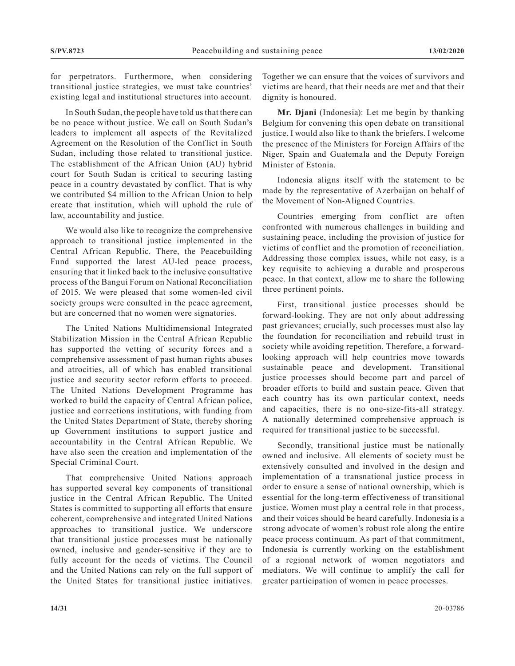for perpetrators. Furthermore, when considering transitional justice strategies, we must take countries' existing legal and institutional structures into account.

In South Sudan, the people have told us that there can be no peace without justice. We call on South Sudan's leaders to implement all aspects of the Revitalized Agreement on the Resolution of the Conflict in South Sudan, including those related to transitional justice. The establishment of the African Union (AU) hybrid court for South Sudan is critical to securing lasting peace in a country devastated by conflict. That is why we contributed \$4 million to the African Union to help create that institution, which will uphold the rule of law, accountability and justice.

We would also like to recognize the comprehensive approach to transitional justice implemented in the Central African Republic. There, the Peacebuilding Fund supported the latest AU-led peace process, ensuring that it linked back to the inclusive consultative process of the Bangui Forum on National Reconciliation of 2015. We were pleased that some women-led civil society groups were consulted in the peace agreement, but are concerned that no women were signatories.

The United Nations Multidimensional Integrated Stabilization Mission in the Central African Republic has supported the vetting of security forces and a comprehensive assessment of past human rights abuses and atrocities, all of which has enabled transitional justice and security sector reform efforts to proceed. The United Nations Development Programme has worked to build the capacity of Central African police, justice and corrections institutions, with funding from the United States Department of State, thereby shoring up Government institutions to support justice and accountability in the Central African Republic. We have also seen the creation and implementation of the Special Criminal Court.

That comprehensive United Nations approach has supported several key components of transitional justice in the Central African Republic. The United States is committed to supporting all efforts that ensure coherent, comprehensive and integrated United Nations approaches to transitional justice. We underscore that transitional justice processes must be nationally owned, inclusive and gender-sensitive if they are to fully account for the needs of victims. The Council and the United Nations can rely on the full support of the United States for transitional justice initiatives.

Together we can ensure that the voices of survivors and victims are heard, that their needs are met and that their dignity is honoured.

**Mr. Djani** (Indonesia): Let me begin by thanking Belgium for convening this open debate on transitional justice. I would also like to thank the briefers. I welcome the presence of the Ministers for Foreign Affairs of the Niger, Spain and Guatemala and the Deputy Foreign Minister of Estonia.

Indonesia aligns itself with the statement to be made by the representative of Azerbaijan on behalf of the Movement of Non-Aligned Countries.

Countries emerging from conflict are often confronted with numerous challenges in building and sustaining peace, including the provision of justice for victims of conflict and the promotion of reconciliation. Addressing those complex issues, while not easy, is a key requisite to achieving a durable and prosperous peace. In that context, allow me to share the following three pertinent points.

First, transitional justice processes should be forward-looking. They are not only about addressing past grievances; crucially, such processes must also lay the foundation for reconciliation and rebuild trust in society while avoiding repetition. Therefore, a forwardlooking approach will help countries move towards sustainable peace and development. Transitional justice processes should become part and parcel of broader efforts to build and sustain peace. Given that each country has its own particular context, needs and capacities, there is no one-size-fits-all strategy. A nationally determined comprehensive approach is required for transitional justice to be successful.

Secondly, transitional justice must be nationally owned and inclusive. All elements of society must be extensively consulted and involved in the design and implementation of a transnational justice process in order to ensure a sense of national ownership, which is essential for the long-term effectiveness of transitional justice. Women must play a central role in that process, and their voices should be heard carefully. Indonesia is a strong advocate of women's robust role along the entire peace process continuum. As part of that commitment, Indonesia is currently working on the establishment of a regional network of women negotiators and mediators. We will continue to amplify the call for greater participation of women in peace processes.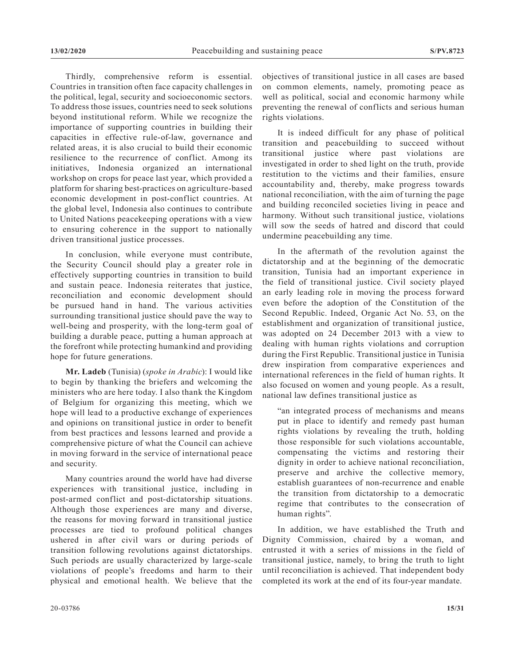Thirdly, comprehensive reform is essential. Countries in transition often face capacity challenges in the political, legal, security and socioeconomic sectors. To address those issues, countries need to seek solutions beyond institutional reform. While we recognize the importance of supporting countries in building their capacities in effective rule-of-law, governance and related areas, it is also crucial to build their economic resilience to the recurrence of conflict. Among its initiatives, Indonesia organized an international workshop on crops for peace last year, which provided a platform for sharing best-practices on agriculture-based economic development in post-conflict countries. At the global level, Indonesia also continues to contribute to United Nations peacekeeping operations with a view to ensuring coherence in the support to nationally driven transitional justice processes.

In conclusion, while everyone must contribute, the Security Council should play a greater role in effectively supporting countries in transition to build and sustain peace. Indonesia reiterates that justice, reconciliation and economic development should be pursued hand in hand. The various activities surrounding transitional justice should pave the way to well-being and prosperity, with the long-term goal of building a durable peace, putting a human approach at the forefront while protecting humankind and providing hope for future generations.

**Mr. Ladeb** (Tunisia) (*spoke in Arabic*): I would like to begin by thanking the briefers and welcoming the ministers who are here today. I also thank the Kingdom of Belgium for organizing this meeting, which we hope will lead to a productive exchange of experiences and opinions on transitional justice in order to benefit from best practices and lessons learned and provide a comprehensive picture of what the Council can achieve in moving forward in the service of international peace and security.

Many countries around the world have had diverse experiences with transitional justice, including in post-armed conflict and post-dictatorship situations. Although those experiences are many and diverse, the reasons for moving forward in transitional justice processes are tied to profound political changes ushered in after civil wars or during periods of transition following revolutions against dictatorships. Such periods are usually characterized by large-scale violations of people's freedoms and harm to their physical and emotional health. We believe that the

objectives of transitional justice in all cases are based on common elements, namely, promoting peace as well as political, social and economic harmony while preventing the renewal of conflicts and serious human rights violations.

It is indeed difficult for any phase of political transition and peacebuilding to succeed without transitional justice where past violations are investigated in order to shed light on the truth, provide restitution to the victims and their families, ensure accountability and, thereby, make progress towards national reconciliation, with the aim of turning the page and building reconciled societies living in peace and harmony. Without such transitional justice, violations will sow the seeds of hatred and discord that could undermine peacebuilding any time.

In the aftermath of the revolution against the dictatorship and at the beginning of the democratic transition, Tunisia had an important experience in the field of transitional justice. Civil society played an early leading role in moving the process forward even before the adoption of the Constitution of the Second Republic. Indeed, Organic Act No. 53, on the establishment and organization of transitional justice, was adopted on 24 December 2013 with a view to dealing with human rights violations and corruption during the First Republic. Transitional justice in Tunisia drew inspiration from comparative experiences and international references in the field of human rights. It also focused on women and young people. As a result, national law defines transitional justice as

"an integrated process of mechanisms and means put in place to identify and remedy past human rights violations by revealing the truth, holding those responsible for such violations accountable, compensating the victims and restoring their dignity in order to achieve national reconciliation, preserve and archive the collective memory, establish guarantees of non-recurrence and enable the transition from dictatorship to a democratic regime that contributes to the consecration of human rights".

In addition, we have established the Truth and Dignity Commission, chaired by a woman, and entrusted it with a series of missions in the field of transitional justice, namely, to bring the truth to light until reconciliation is achieved. That independent body completed its work at the end of its four-year mandate.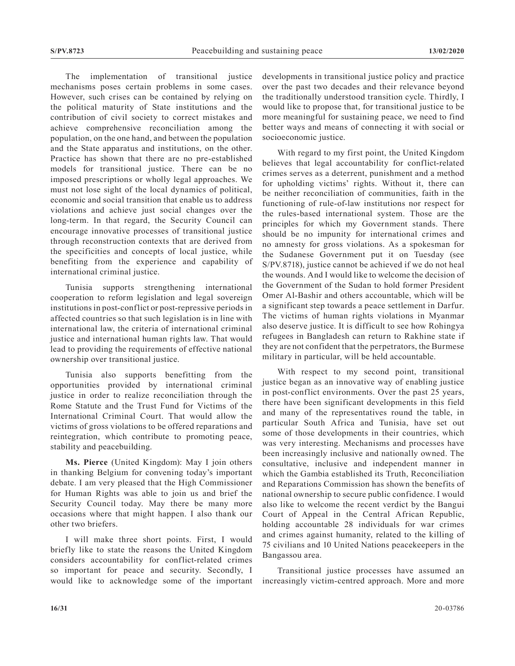The implementation of transitional justice mechanisms poses certain problems in some cases. However, such crises can be contained by relying on the political maturity of State institutions and the contribution of civil society to correct mistakes and achieve comprehensive reconciliation among the population, on the one hand, and between the population and the State apparatus and institutions, on the other. Practice has shown that there are no pre-established models for transitional justice. There can be no imposed prescriptions or wholly legal approaches. We must not lose sight of the local dynamics of political, economic and social transition that enable us to address violations and achieve just social changes over the long-term. In that regard, the Security Council can encourage innovative processes of transitional justice through reconstruction contexts that are derived from the specificities and concepts of local justice, while benefiting from the experience and capability of international criminal justice.

Tunisia supports strengthening international cooperation to reform legislation and legal sovereign institutions in post-conflict or post-repressive periods in affected countries so that such legislation is in line with international law, the criteria of international criminal justice and international human rights law. That would lead to providing the requirements of effective national ownership over transitional justice.

Tunisia also supports benefitting from the opportunities provided by international criminal justice in order to realize reconciliation through the Rome Statute and the Trust Fund for Victims of the International Criminal Court. That would allow the victims of gross violations to be offered reparations and reintegration, which contribute to promoting peace, stability and peacebuilding.

**Ms. Pierce** (United Kingdom): May I join others in thanking Belgium for convening today's important debate. I am very pleased that the High Commissioner for Human Rights was able to join us and brief the Security Council today. May there be many more occasions where that might happen. I also thank our other two briefers.

I will make three short points. First, I would briefly like to state the reasons the United Kingdom considers accountability for conflict-related crimes so important for peace and security. Secondly, I would like to acknowledge some of the important developments in transitional justice policy and practice over the past two decades and their relevance beyond the traditionally understood transition cycle. Thirdly, I would like to propose that, for transitional justice to be more meaningful for sustaining peace, we need to find better ways and means of connecting it with social or socioeconomic justice.

With regard to my first point, the United Kingdom believes that legal accountability for conflict-related crimes serves as a deterrent, punishment and a method for upholding victims' rights. Without it, there can be neither reconciliation of communities, faith in the functioning of rule-of-law institutions nor respect for the rules-based international system. Those are the principles for which my Government stands. There should be no impunity for international crimes and no amnesty for gross violations. As a spokesman for the Sudanese Government put it on Tuesday (see S/PV.8718), justice cannot be achieved if we do not heal the wounds. And I would like to welcome the decision of the Government of the Sudan to hold former President Omer Al-Bashir and others accountable, which will be a significant step towards a peace settlement in Darfur. The victims of human rights violations in Myanmar also deserve justice. It is difficult to see how Rohingya refugees in Bangladesh can return to Rakhine state if they are not confident that the perpetrators, the Burmese military in particular, will be held accountable.

With respect to my second point, transitional justice began as an innovative way of enabling justice in post-conflict environments. Over the past 25 years, there have been significant developments in this field and many of the representatives round the table, in particular South Africa and Tunisia, have set out some of those developments in their countries, which was very interesting. Mechanisms and processes have been increasingly inclusive and nationally owned. The consultative, inclusive and independent manner in which the Gambia established its Truth, Reconciliation and Reparations Commission has shown the benefits of national ownership to secure public confidence. I would also like to welcome the recent verdict by the Bangui Court of Appeal in the Central African Republic, holding accountable 28 individuals for war crimes and crimes against humanity, related to the killing of 75 civilians and 10 United Nations peacekeepers in the Bangassou area.

Transitional justice processes have assumed an increasingly victim-centred approach. More and more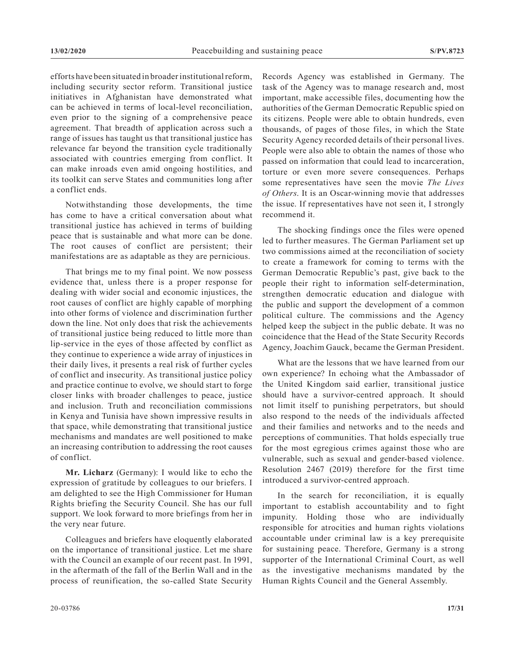efforts have been situated in broader institutional reform, including security sector reform. Transitional justice initiatives in Afghanistan have demonstrated what can be achieved in terms of local-level reconciliation, even prior to the signing of a comprehensive peace agreement. That breadth of application across such a range of issues has taught us that transitional justice has relevance far beyond the transition cycle traditionally associated with countries emerging from conflict. It can make inroads even amid ongoing hostilities, and its toolkit can serve States and communities long after a conflict ends.

Notwithstanding those developments, the time has come to have a critical conversation about what transitional justice has achieved in terms of building peace that is sustainable and what more can be done. The root causes of conflict are persistent; their manifestations are as adaptable as they are pernicious.

That brings me to my final point. We now possess evidence that, unless there is a proper response for dealing with wider social and economic injustices, the root causes of conflict are highly capable of morphing into other forms of violence and discrimination further down the line. Not only does that risk the achievements of transitional justice being reduced to little more than lip-service in the eyes of those affected by conflict as they continue to experience a wide array of injustices in their daily lives, it presents a real risk of further cycles of conflict and insecurity. As transitional justice policy and practice continue to evolve, we should start to forge closer links with broader challenges to peace, justice and inclusion. Truth and reconciliation commissions in Kenya and Tunisia have shown impressive results in that space, while demonstrating that transitional justice mechanisms and mandates are well positioned to make an increasing contribution to addressing the root causes of conflict.

**Mr. Licharz** (Germany): I would like to echo the expression of gratitude by colleagues to our briefers. I am delighted to see the High Commissioner for Human Rights briefing the Security Council. She has our full support. We look forward to more briefings from her in the very near future.

Colleagues and briefers have eloquently elaborated on the importance of transitional justice. Let me share with the Council an example of our recent past. In 1991, in the aftermath of the fall of the Berlin Wall and in the process of reunification, the so-called State Security Records Agency was established in Germany. The task of the Agency was to manage research and, most important, make accessible files, documenting how the authorities of the German Democratic Republic spied on its citizens. People were able to obtain hundreds, even thousands, of pages of those files, in which the State Security Agency recorded details of their personal lives. People were also able to obtain the names of those who passed on information that could lead to incarceration, torture or even more severe consequences. Perhaps some representatives have seen the movie *The Lives of Others*. It is an Oscar-winning movie that addresses the issue. If representatives have not seen it, I strongly recommend it.

The shocking findings once the files were opened led to further measures. The German Parliament set up two commissions aimed at the reconciliation of society to create a framework for coming to terms with the German Democratic Republic's past, give back to the people their right to information self-determination, strengthen democratic education and dialogue with the public and support the development of a common political culture. The commissions and the Agency helped keep the subject in the public debate. It was no coincidence that the Head of the State Security Records Agency, Joachim Gauck, became the German President.

What are the lessons that we have learned from our own experience? In echoing what the Ambassador of the United Kingdom said earlier, transitional justice should have a survivor-centred approach. It should not limit itself to punishing perpetrators, but should also respond to the needs of the individuals affected and their families and networks and to the needs and perceptions of communities. That holds especially true for the most egregious crimes against those who are vulnerable, such as sexual and gender-based violence. Resolution 2467 (2019) therefore for the first time introduced a survivor-centred approach.

In the search for reconciliation, it is equally important to establish accountability and to fight impunity. Holding those who are individually responsible for atrocities and human rights violations accountable under criminal law is a key prerequisite for sustaining peace. Therefore, Germany is a strong supporter of the International Criminal Court, as well as the investigative mechanisms mandated by the Human Rights Council and the General Assembly.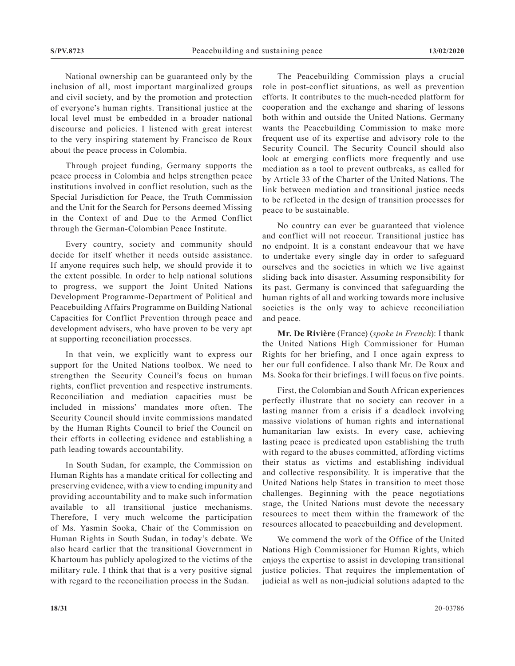National ownership can be guaranteed only by the inclusion of all, most important marginalized groups and civil society, and by the promotion and protection of everyone's human rights. Transitional justice at the local level must be embedded in a broader national discourse and policies. I listened with great interest to the very inspiring statement by Francisco de Roux about the peace process in Colombia.

Through project funding, Germany supports the peace process in Colombia and helps strengthen peace institutions involved in conflict resolution, such as the Special Jurisdiction for Peace, the Truth Commission and the Unit for the Search for Persons deemed Missing in the Context of and Due to the Armed Conflict through the German-Colombian Peace Institute.

Every country, society and community should decide for itself whether it needs outside assistance. If anyone requires such help, we should provide it to the extent possible. In order to help national solutions to progress, we support the Joint United Nations Development Programme-Department of Political and Peacebuilding Affairs Programme on Building National Capacities for Conflict Prevention through peace and development advisers, who have proven to be very apt at supporting reconciliation processes.

In that vein, we explicitly want to express our support for the United Nations toolbox. We need to strengthen the Security Council's focus on human rights, conflict prevention and respective instruments. Reconciliation and mediation capacities must be included in missions' mandates more often. The Security Council should invite commissions mandated by the Human Rights Council to brief the Council on their efforts in collecting evidence and establishing a path leading towards accountability.

In South Sudan, for example, the Commission on Human Rights has a mandate critical for collecting and preserving evidence, with a view to ending impunity and providing accountability and to make such information available to all transitional justice mechanisms. Therefore, I very much welcome the participation of Ms. Yasmin Sooka, Chair of the Commission on Human Rights in South Sudan, in today's debate. We also heard earlier that the transitional Government in Khartoum has publicly apologized to the victims of the military rule. I think that that is a very positive signal with regard to the reconciliation process in the Sudan.

The Peacebuilding Commission plays a crucial role in post-conflict situations, as well as prevention efforts. It contributes to the much-needed platform for cooperation and the exchange and sharing of lessons both within and outside the United Nations. Germany wants the Peacebuilding Commission to make more frequent use of its expertise and advisory role to the Security Council. The Security Council should also look at emerging conflicts more frequently and use mediation as a tool to prevent outbreaks, as called for by Article 33 of the Charter of the United Nations. The link between mediation and transitional justice needs to be reflected in the design of transition processes for peace to be sustainable.

No country can ever be guaranteed that violence and conflict will not reoccur. Transitional justice has no endpoint. It is a constant endeavour that we have to undertake every single day in order to safeguard ourselves and the societies in which we live against sliding back into disaster. Assuming responsibility for its past, Germany is convinced that safeguarding the human rights of all and working towards more inclusive societies is the only way to achieve reconciliation and peace.

**Mr. De Rivière** (France) (*spoke in French*): I thank the United Nations High Commissioner for Human Rights for her briefing, and I once again express to her our full confidence. I also thank Mr. De Roux and Ms. Sooka for their briefings. I will focus on five points.

First, the Colombian and South African experiences perfectly illustrate that no society can recover in a lasting manner from a crisis if a deadlock involving massive violations of human rights and international humanitarian law exists. In every case, achieving lasting peace is predicated upon establishing the truth with regard to the abuses committed, affording victims their status as victims and establishing individual and collective responsibility. It is imperative that the United Nations help States in transition to meet those challenges. Beginning with the peace negotiations stage, the United Nations must devote the necessary resources to meet them within the framework of the resources allocated to peacebuilding and development.

We commend the work of the Office of the United Nations High Commissioner for Human Rights, which enjoys the expertise to assist in developing transitional justice policies. That requires the implementation of judicial as well as non-judicial solutions adapted to the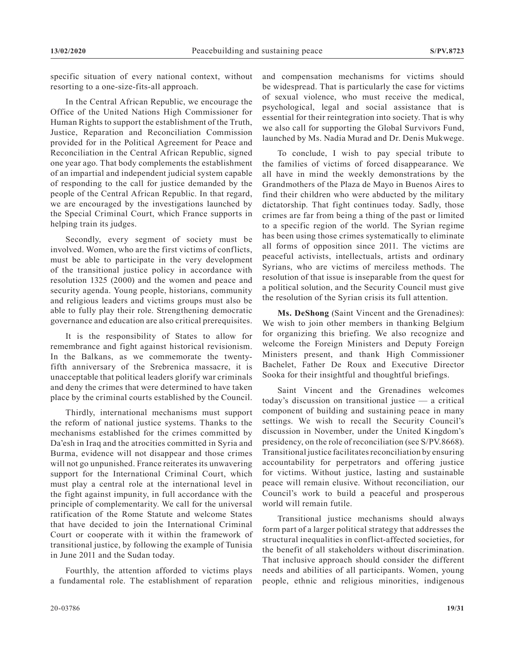specific situation of every national context, without resorting to a one-size-fits-all approach.

In the Central African Republic, we encourage the Office of the United Nations High Commissioner for Human Rights to support the establishment of the Truth, Justice, Reparation and Reconciliation Commission provided for in the Political Agreement for Peace and Reconciliation in the Central African Republic, signed one year ago. That body complements the establishment of an impartial and independent judicial system capable of responding to the call for justice demanded by the people of the Central African Republic. In that regard, we are encouraged by the investigations launched by the Special Criminal Court, which France supports in helping train its judges.

Secondly, every segment of society must be involved. Women, who are the first victims of conflicts, must be able to participate in the very development of the transitional justice policy in accordance with resolution 1325 (2000) and the women and peace and security agenda. Young people, historians, community and religious leaders and victims groups must also be able to fully play their role. Strengthening democratic governance and education are also critical prerequisites.

It is the responsibility of States to allow for remembrance and fight against historical revisionism. In the Balkans, as we commemorate the twentyfifth anniversary of the Srebrenica massacre, it is unacceptable that political leaders glorify war criminals and deny the crimes that were determined to have taken place by the criminal courts established by the Council.

Thirdly, international mechanisms must support the reform of national justice systems. Thanks to the mechanisms established for the crimes committed by Da'esh in Iraq and the atrocities committed in Syria and Burma, evidence will not disappear and those crimes will not go unpunished. France reiterates its unwavering support for the International Criminal Court, which must play a central role at the international level in the fight against impunity, in full accordance with the principle of complementarity. We call for the universal ratification of the Rome Statute and welcome States that have decided to join the International Criminal Court or cooperate with it within the framework of transitional justice, by following the example of Tunisia in June 2011 and the Sudan today.

Fourthly, the attention afforded to victims plays a fundamental role. The establishment of reparation and compensation mechanisms for victims should be widespread. That is particularly the case for victims of sexual violence, who must receive the medical, psychological, legal and social assistance that is essential for their reintegration into society. That is why we also call for supporting the Global Survivors Fund, launched by Ms. Nadia Murad and Dr. Denis Mukwege.

To conclude, I wish to pay special tribute to the families of victims of forced disappearance. We all have in mind the weekly demonstrations by the Grandmothers of the Plaza de Mayo in Buenos Aires to find their children who were abducted by the military dictatorship. That fight continues today. Sadly, those crimes are far from being a thing of the past or limited to a specific region of the world. The Syrian regime has been using those crimes systematically to eliminate all forms of opposition since 2011. The victims are peaceful activists, intellectuals, artists and ordinary Syrians, who are victims of merciless methods. The resolution of that issue is inseparable from the quest for a political solution, and the Security Council must give the resolution of the Syrian crisis its full attention.

**Ms. DeShong** (Saint Vincent and the Grenadines): We wish to join other members in thanking Belgium for organizing this briefing. We also recognize and welcome the Foreign Ministers and Deputy Foreign Ministers present, and thank High Commissioner Bachelet, Father De Roux and Executive Director Sooka for their insightful and thoughtful briefings.

Saint Vincent and the Grenadines welcomes today's discussion on transitional justice — a critical component of building and sustaining peace in many settings. We wish to recall the Security Council's discussion in November, under the United Kingdom's presidency, on the role of reconciliation (see S/PV.8668). Transitional justice facilitates reconciliation by ensuring accountability for perpetrators and offering justice for victims. Without justice, lasting and sustainable peace will remain elusive. Without reconciliation, our Council's work to build a peaceful and prosperous world will remain futile.

Transitional justice mechanisms should always form part of a larger political strategy that addresses the structural inequalities in conflict-affected societies, for the benefit of all stakeholders without discrimination. That inclusive approach should consider the different needs and abilities of all participants. Women, young people, ethnic and religious minorities, indigenous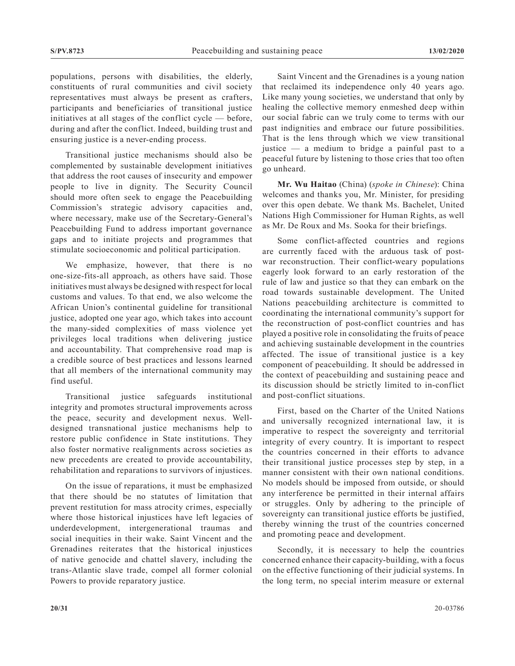populations, persons with disabilities, the elderly, constituents of rural communities and civil society representatives must always be present as crafters, participants and beneficiaries of transitional justice initiatives at all stages of the conflict cycle — before, during and after the conflict. Indeed, building trust and ensuring justice is a never-ending process.

Transitional justice mechanisms should also be complemented by sustainable development initiatives that address the root causes of insecurity and empower people to live in dignity. The Security Council should more often seek to engage the Peacebuilding Commission's strategic advisory capacities and, where necessary, make use of the Secretary-General's Peacebuilding Fund to address important governance gaps and to initiate projects and programmes that stimulate socioeconomic and political participation.

We emphasize, however, that there is no one-size-fits-all approach, as others have said. Those initiatives must always be designed with respect for local customs and values. To that end, we also welcome the African Union's continental guideline for transitional justice, adopted one year ago, which takes into account the many-sided complexities of mass violence yet privileges local traditions when delivering justice and accountability. That comprehensive road map is a credible source of best practices and lessons learned that all members of the international community may find useful.

Transitional justice safeguards institutional integrity and promotes structural improvements across the peace, security and development nexus. Welldesigned transnational justice mechanisms help to restore public confidence in State institutions. They also foster normative realignments across societies as new precedents are created to provide accountability, rehabilitation and reparations to survivors of injustices.

On the issue of reparations, it must be emphasized that there should be no statutes of limitation that prevent restitution for mass atrocity crimes, especially where those historical injustices have left legacies of underdevelopment, intergenerational traumas and social inequities in their wake. Saint Vincent and the Grenadines reiterates that the historical injustices of native genocide and chattel slavery, including the trans-Atlantic slave trade, compel all former colonial Powers to provide reparatory justice.

Saint Vincent and the Grenadines is a young nation that reclaimed its independence only 40 years ago. Like many young societies, we understand that only by healing the collective memory enmeshed deep within our social fabric can we truly come to terms with our past indignities and embrace our future possibilities. That is the lens through which we view transitional justice — a medium to bridge a painful past to a peaceful future by listening to those cries that too often go unheard.

**Mr. Wu Haitao** (China) (*spoke in Chinese*): China welcomes and thanks you, Mr. Minister, for presiding over this open debate. We thank Ms. Bachelet, United Nations High Commissioner for Human Rights, as well as Mr. De Roux and Ms. Sooka for their briefings.

Some conflict-affected countries and regions are currently faced with the arduous task of postwar reconstruction. Their conflict-weary populations eagerly look forward to an early restoration of the rule of law and justice so that they can embark on the road towards sustainable development. The United Nations peacebuilding architecture is committed to coordinating the international community's support for the reconstruction of post-conflict countries and has played a positive role in consolidating the fruits of peace and achieving sustainable development in the countries affected. The issue of transitional justice is a key component of peacebuilding. It should be addressed in the context of peacebuilding and sustaining peace and its discussion should be strictly limited to in-conflict and post-conflict situations.

First, based on the Charter of the United Nations and universally recognized international law, it is imperative to respect the sovereignty and territorial integrity of every country. It is important to respect the countries concerned in their efforts to advance their transitional justice processes step by step, in a manner consistent with their own national conditions. No models should be imposed from outside, or should any interference be permitted in their internal affairs or struggles. Only by adhering to the principle of sovereignty can transitional justice efforts be justified, thereby winning the trust of the countries concerned and promoting peace and development.

Secondly, it is necessary to help the countries concerned enhance their capacity-building, with a focus on the effective functioning of their judicial systems. In the long term, no special interim measure or external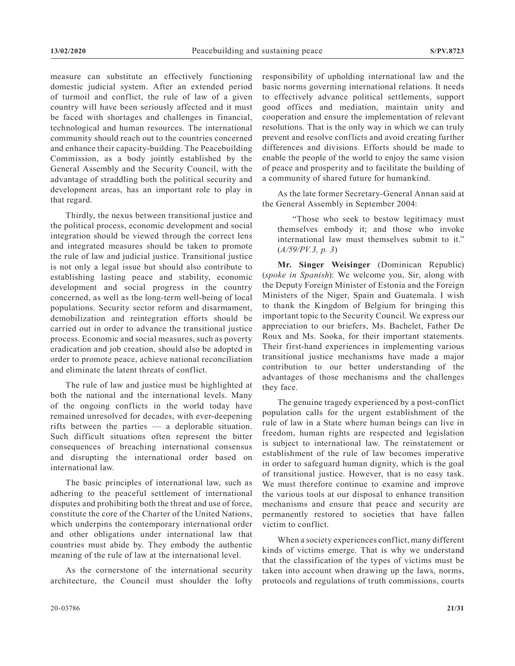measure can substitute an effectively functioning domestic judicial system. After an extended period of turmoil and conflict, the rule of law of a given country will have been seriously affected and it must be faced with shortages and challenges in financial, technological and human resources. The international community should reach out to the countries concerned and enhance their capacity-building. The Peacebuilding Commission, as a body jointly established by the General Assembly and the Security Council, with the advantage of straddling both the political security and development areas, has an important role to play in that regard.

Thirdly, the nexus between transitional justice and the political process, economic development and social integration should be viewed through the correct lens and integrated measures should be taken to promote the rule of law and judicial justice. Transitional justice is not only a legal issue but should also contribute to establishing lasting peace and stability, economic development and social progress in the country concerned, as well as the long-term well-being of local populations. Security sector reform and disarmament, demobilization and reintegration efforts should be carried out in order to advance the transitional justice process. Economic and social measures, such as poverty eradication and job creation, should also be adopted in order to promote peace, achieve national reconciliation and eliminate the latent threats of conflict.

The rule of law and justice must be highlighted at both the national and the international levels. Many of the ongoing conflicts in the world today have remained unresolved for decades, with ever-deepening rifts between the parties — a deplorable situation. Such difficult situations often represent the bitter consequences of breaching international consensus and disrupting the international order based on international law.

The basic principles of international law, such as adhering to the peaceful settlement of international disputes and prohibiting both the threat and use of force, constitute the core of the Charter of the United Nations, which underpins the contemporary international order and other obligations under international law that countries must abide by. They embody the authentic meaning of the rule of law at the international level.

As the cornerstone of the international security architecture, the Council must shoulder the lofty responsibility of upholding international law and the basic norms governing international relations. It needs to effectively advance political settlements, support good offices and mediation, maintain unity and cooperation and ensure the implementation of relevant resolutions. That is the only way in which we can truly prevent and resolve conflicts and avoid creating further differences and divisions. Efforts should be made to enable the people of the world to enjoy the same vision of peace and prosperity and to facilitate the building of a community of shared future for humankind.

As the late former Secretary-General Annan said at the General Assembly in September 2004:

"Those who seek to bestow legitimacy must themselves embody it; and those who invoke international law must themselves submit to it." (*A/59/PV.3, p. 3*)

**Mr. Singer Weisinger** (Dominican Republic) (*spoke in Spanish*): We welcome you, Sir, along with the Deputy Foreign Minister of Estonia and the Foreign Ministers of the Niger, Spain and Guatemala. I wish to thank the Kingdom of Belgium for bringing this important topic to the Security Council. We express our appreciation to our briefers, Ms. Bachelet, Father De Roux and Ms. Sooka, for their important statements. Their first-hand experiences in implementing various transitional justice mechanisms have made a major contribution to our better understanding of the advantages of those mechanisms and the challenges they face.

The genuine tragedy experienced by a post-conflict population calls for the urgent establishment of the rule of law in a State where human beings can live in freedom, human rights are respected and legislation is subject to international law. The reinstatement or establishment of the rule of law becomes imperative in order to safeguard human dignity, which is the goal of transitional justice. However, that is no easy task. We must therefore continue to examine and improve the various tools at our disposal to enhance transition mechanisms and ensure that peace and security are permanently restored to societies that have fallen victim to conflict.

When a society experiences conflict, many different kinds of victims emerge. That is why we understand that the classification of the types of victims must be taken into account when drawing up the laws, norms, protocols and regulations of truth commissions, courts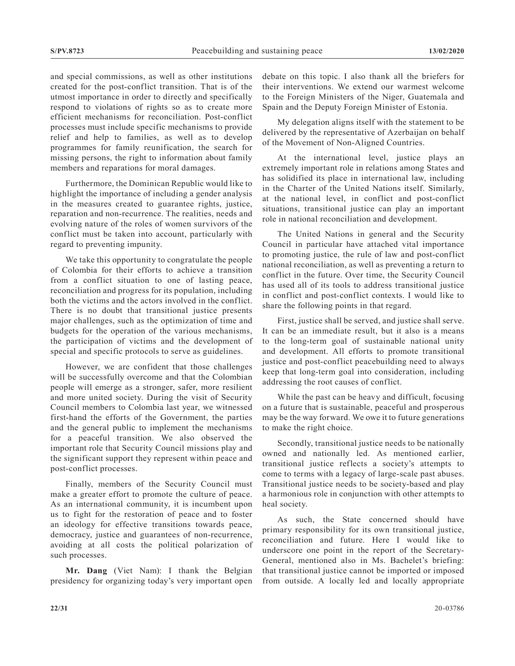and special commissions, as well as other institutions created for the post-conflict transition. That is of the utmost importance in order to directly and specifically respond to violations of rights so as to create more efficient mechanisms for reconciliation. Post-conflict processes must include specific mechanisms to provide relief and help to families, as well as to develop programmes for family reunification, the search for missing persons, the right to information about family members and reparations for moral damages.

Furthermore, the Dominican Republic would like to highlight the importance of including a gender analysis in the measures created to guarantee rights, justice, reparation and non-recurrence. The realities, needs and evolving nature of the roles of women survivors of the conflict must be taken into account, particularly with regard to preventing impunity.

We take this opportunity to congratulate the people of Colombia for their efforts to achieve a transition from a conflict situation to one of lasting peace, reconciliation and progress for its population, including both the victims and the actors involved in the conflict. There is no doubt that transitional justice presents major challenges, such as the optimization of time and budgets for the operation of the various mechanisms, the participation of victims and the development of special and specific protocols to serve as guidelines.

However, we are confident that those challenges will be successfully overcome and that the Colombian people will emerge as a stronger, safer, more resilient and more united society. During the visit of Security Council members to Colombia last year, we witnessed first-hand the efforts of the Government, the parties and the general public to implement the mechanisms for a peaceful transition. We also observed the important role that Security Council missions play and the significant support they represent within peace and post-conflict processes.

Finally, members of the Security Council must make a greater effort to promote the culture of peace. As an international community, it is incumbent upon us to fight for the restoration of peace and to foster an ideology for effective transitions towards peace, democracy, justice and guarantees of non-recurrence, avoiding at all costs the political polarization of such processes.

**Mr. Dang** (Viet Nam): I thank the Belgian presidency for organizing today's very important open debate on this topic. I also thank all the briefers for their interventions. We extend our warmest welcome to the Foreign Ministers of the Niger, Guatemala and Spain and the Deputy Foreign Minister of Estonia.

My delegation aligns itself with the statement to be delivered by the representative of Azerbaijan on behalf of the Movement of Non-Aligned Countries.

At the international level, justice plays an extremely important role in relations among States and has solidified its place in international law, including in the Charter of the United Nations itself. Similarly, at the national level, in conflict and post-conflict situations, transitional justice can play an important role in national reconciliation and development.

The United Nations in general and the Security Council in particular have attached vital importance to promoting justice, the rule of law and post-conflict national reconciliation, as well as preventing a return to conflict in the future. Over time, the Security Council has used all of its tools to address transitional justice in conflict and post-conflict contexts. I would like to share the following points in that regard.

First, justice shall be served, and justice shall serve. It can be an immediate result, but it also is a means to the long-term goal of sustainable national unity and development. All efforts to promote transitional justice and post-conflict peacebuilding need to always keep that long-term goal into consideration, including addressing the root causes of conflict.

While the past can be heavy and difficult, focusing on a future that is sustainable, peaceful and prosperous may be the way forward. We owe it to future generations to make the right choice.

Secondly, transitional justice needs to be nationally owned and nationally led. As mentioned earlier, transitional justice reflects a society's attempts to come to terms with a legacy of large-scale past abuses. Transitional justice needs to be society-based and play a harmonious role in conjunction with other attempts to heal society.

As such, the State concerned should have primary responsibility for its own transitional justice, reconciliation and future. Here I would like to underscore one point in the report of the Secretary-General, mentioned also in Ms. Bachelet's briefing: that transitional justice cannot be imported or imposed from outside. A locally led and locally appropriate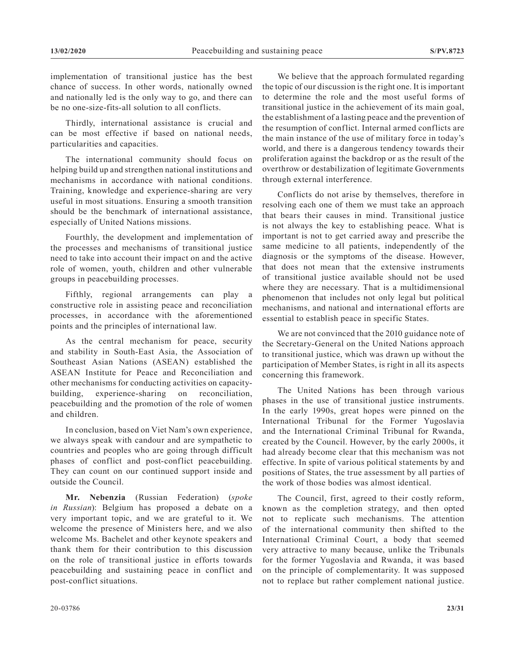implementation of transitional justice has the best chance of success. In other words, nationally owned and nationally led is the only way to go, and there can be no one-size-fits-all solution to all conflicts.

Thirdly, international assistance is crucial and can be most effective if based on national needs, particularities and capacities.

The international community should focus on helping build up and strengthen national institutions and mechanisms in accordance with national conditions. Training, knowledge and experience-sharing are very useful in most situations. Ensuring a smooth transition should be the benchmark of international assistance, especially of United Nations missions.

Fourthly, the development and implementation of the processes and mechanisms of transitional justice need to take into account their impact on and the active role of women, youth, children and other vulnerable groups in peacebuilding processes.

Fifthly, regional arrangements can play a constructive role in assisting peace and reconciliation processes, in accordance with the aforementioned points and the principles of international law.

As the central mechanism for peace, security and stability in South-East Asia, the Association of Southeast Asian Nations (ASEAN) established the ASEAN Institute for Peace and Reconciliation and other mechanisms for conducting activities on capacitybuilding, experience-sharing on reconciliation, peacebuilding and the promotion of the role of women and children.

In conclusion, based on Viet Nam's own experience, we always speak with candour and are sympathetic to countries and peoples who are going through difficult phases of conflict and post-conflict peacebuilding. They can count on our continued support inside and outside the Council.

**Mr. Nebenzia** (Russian Federation) (*spoke in Russian*): Belgium has proposed a debate on a very important topic, and we are grateful to it. We welcome the presence of Ministers here, and we also welcome Ms. Bachelet and other keynote speakers and thank them for their contribution to this discussion on the role of transitional justice in efforts towards peacebuilding and sustaining peace in conflict and post-conflict situations.

We believe that the approach formulated regarding the topic of our discussion is the right one. It is important to determine the role and the most useful forms of transitional justice in the achievement of its main goal, the establishment of a lasting peace and the prevention of the resumption of conflict. Internal armed conflicts are the main instance of the use of military force in today's world, and there is a dangerous tendency towards their proliferation against the backdrop or as the result of the overthrow or destabilization of legitimate Governments through external interference.

Conflicts do not arise by themselves, therefore in resolving each one of them we must take an approach that bears their causes in mind. Transitional justice is not always the key to establishing peace. What is important is not to get carried away and prescribe the same medicine to all patients, independently of the diagnosis or the symptoms of the disease. However, that does not mean that the extensive instruments of transitional justice available should not be used where they are necessary. That is a multidimensional phenomenon that includes not only legal but political mechanisms, and national and international efforts are essential to establish peace in specific States.

We are not convinced that the 2010 guidance note of the Secretary-General on the United Nations approach to transitional justice, which was drawn up without the participation of Member States, is right in all its aspects concerning this framework.

The United Nations has been through various phases in the use of transitional justice instruments. In the early 1990s, great hopes were pinned on the International Tribunal for the Former Yugoslavia and the International Criminal Tribunal for Rwanda, created by the Council. However, by the early 2000s, it had already become clear that this mechanism was not effective. In spite of various political statements by and positions of States, the true assessment by all parties of the work of those bodies was almost identical.

The Council, first, agreed to their costly reform, known as the completion strategy, and then opted not to replicate such mechanisms. The attention of the international community then shifted to the International Criminal Court, a body that seemed very attractive to many because, unlike the Tribunals for the former Yugoslavia and Rwanda, it was based on the principle of complementarity. It was supposed not to replace but rather complement national justice.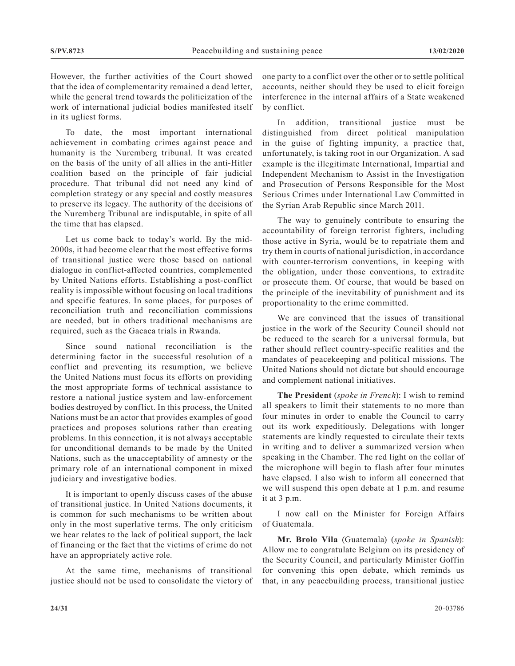However, the further activities of the Court showed that the idea of complementarity remained a dead letter, while the general trend towards the politicization of the work of international judicial bodies manifested itself in its ugliest forms.

To date, the most important international achievement in combating crimes against peace and humanity is the Nuremberg tribunal. It was created on the basis of the unity of all allies in the anti-Hitler coalition based on the principle of fair judicial procedure. That tribunal did not need any kind of completion strategy or any special and costly measures to preserve its legacy. The authority of the decisions of the Nuremberg Tribunal are indisputable, in spite of all the time that has elapsed.

Let us come back to today's world. By the mid-2000s, it had become clear that the most effective forms of transitional justice were those based on national dialogue in conflict-affected countries, complemented by United Nations efforts. Establishing a post-conflict reality is impossible without focusing on local traditions and specific features. In some places, for purposes of reconciliation truth and reconciliation commissions are needed, but in others traditional mechanisms are required, such as the Gacaca trials in Rwanda.

Since sound national reconciliation is the determining factor in the successful resolution of a conflict and preventing its resumption, we believe the United Nations must focus its efforts on providing the most appropriate forms of technical assistance to restore a national justice system and law-enforcement bodies destroyed by conflict. In this process, the United Nations must be an actor that provides examples of good practices and proposes solutions rather than creating problems. In this connection, it is not always acceptable for unconditional demands to be made by the United Nations, such as the unacceptability of amnesty or the primary role of an international component in mixed judiciary and investigative bodies.

It is important to openly discuss cases of the abuse of transitional justice. In United Nations documents, it is common for such mechanisms to be written about only in the most superlative terms. The only criticism we hear relates to the lack of political support, the lack of financing or the fact that the victims of crime do not have an appropriately active role.

At the same time, mechanisms of transitional justice should not be used to consolidate the victory of one party to a conflict over the other or to settle political accounts, neither should they be used to elicit foreign interference in the internal affairs of a State weakened by conflict.

In addition, transitional justice must be distinguished from direct political manipulation in the guise of fighting impunity, a practice that, unfortunately, is taking root in our Organization. A sad example is the illegitimate International, Impartial and Independent Mechanism to Assist in the Investigation and Prosecution of Persons Responsible for the Most Serious Crimes under International Law Committed in the Syrian Arab Republic since March 2011.

The way to genuinely contribute to ensuring the accountability of foreign terrorist fighters, including those active in Syria, would be to repatriate them and try them in courts of national jurisdiction, in accordance with counter-terrorism conventions, in keeping with the obligation, under those conventions, to extradite or prosecute them. Of course, that would be based on the principle of the inevitability of punishment and its proportionality to the crime committed.

We are convinced that the issues of transitional justice in the work of the Security Council should not be reduced to the search for a universal formula, but rather should reflect country-specific realities and the mandates of peacekeeping and political missions. The United Nations should not dictate but should encourage and complement national initiatives.

**The President** (*spoke in French*): I wish to remind all speakers to limit their statements to no more than four minutes in order to enable the Council to carry out its work expeditiously. Delegations with longer statements are kindly requested to circulate their texts in writing and to deliver a summarized version when speaking in the Chamber. The red light on the collar of the microphone will begin to flash after four minutes have elapsed. I also wish to inform all concerned that we will suspend this open debate at 1 p.m. and resume it at 3 p.m.

I now call on the Minister for Foreign Affairs of Guatemala.

**Mr. Brolo Vila** (Guatemala) (*spoke in Spanish*): Allow me to congratulate Belgium on its presidency of the Security Council, and particularly Minister Goffin for convening this open debate, which reminds us that, in any peacebuilding process, transitional justice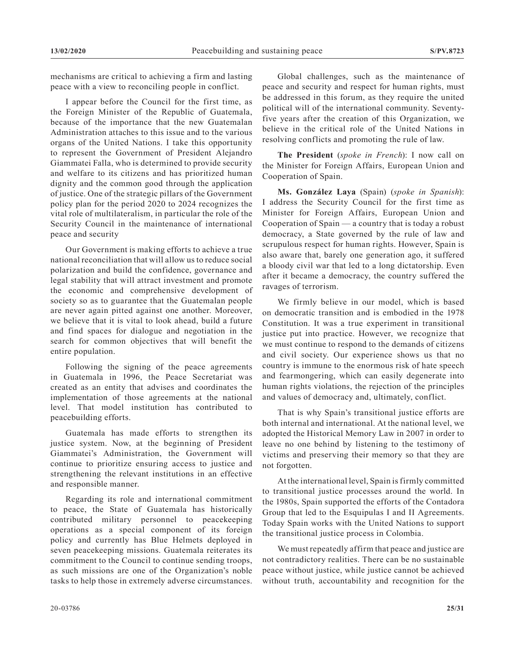mechanisms are critical to achieving a firm and lasting peace with a view to reconciling people in conflict.

I appear before the Council for the first time, as the Foreign Minister of the Republic of Guatemala, because of the importance that the new Guatemalan Administration attaches to this issue and to the various organs of the United Nations. I take this opportunity to represent the Government of President Alejandro Giammatei Falla, who is determined to provide security and welfare to its citizens and has prioritized human dignity and the common good through the application of justice. One of the strategic pillars of the Government policy plan for the period 2020 to 2024 recognizes the vital role of multilateralism, in particular the role of the Security Council in the maintenance of international peace and security

Our Government is making efforts to achieve a true national reconciliation that will allow us to reduce social polarization and build the confidence, governance and legal stability that will attract investment and promote the economic and comprehensive development of society so as to guarantee that the Guatemalan people are never again pitted against one another. Moreover, we believe that it is vital to look ahead, build a future and find spaces for dialogue and negotiation in the search for common objectives that will benefit the entire population.

Following the signing of the peace agreements in Guatemala in 1996, the Peace Secretariat was created as an entity that advises and coordinates the implementation of those agreements at the national level. That model institution has contributed to peacebuilding efforts.

Guatemala has made efforts to strengthen its justice system. Now, at the beginning of President Giammatei's Administration, the Government will continue to prioritize ensuring access to justice and strengthening the relevant institutions in an effective and responsible manner.

Regarding its role and international commitment to peace, the State of Guatemala has historically contributed military personnel to peacekeeping operations as a special component of its foreign policy and currently has Blue Helmets deployed in seven peacekeeping missions. Guatemala reiterates its commitment to the Council to continue sending troops, as such missions are one of the Organization's noble tasks to help those in extremely adverse circumstances.

Global challenges, such as the maintenance of peace and security and respect for human rights, must be addressed in this forum, as they require the united political will of the international community. Seventyfive years after the creation of this Organization, we believe in the critical role of the United Nations in resolving conflicts and promoting the rule of law.

**The President** (*spoke in French*): I now call on the Minister for Foreign Affairs, European Union and Cooperation of Spain.

**Ms. González Laya** (Spain) (*spoke in Spanish*): I address the Security Council for the first time as Minister for Foreign Affairs, European Union and Cooperation of Spain — a country that is today a robust democracy, a State governed by the rule of law and scrupulous respect for human rights. However, Spain is also aware that, barely one generation ago, it suffered a bloody civil war that led to a long dictatorship. Even after it became a democracy, the country suffered the ravages of terrorism.

We firmly believe in our model, which is based on democratic transition and is embodied in the 1978 Constitution. It was a true experiment in transitional justice put into practice. However, we recognize that we must continue to respond to the demands of citizens and civil society. Our experience shows us that no country is immune to the enormous risk of hate speech and fearmongering, which can easily degenerate into human rights violations, the rejection of the principles and values of democracy and, ultimately, conflict.

That is why Spain's transitional justice efforts are both internal and international. At the national level, we adopted the Historical Memory Law in 2007 in order to leave no one behind by listening to the testimony of victims and preserving their memory so that they are not forgotten.

At the international level, Spain is firmly committed to transitional justice processes around the world. In the 1980s, Spain supported the efforts of the Contadora Group that led to the Esquipulas I and II Agreements. Today Spain works with the United Nations to support the transitional justice process in Colombia.

We must repeatedly affirm that peace and justice are not contradictory realities. There can be no sustainable peace without justice, while justice cannot be achieved without truth, accountability and recognition for the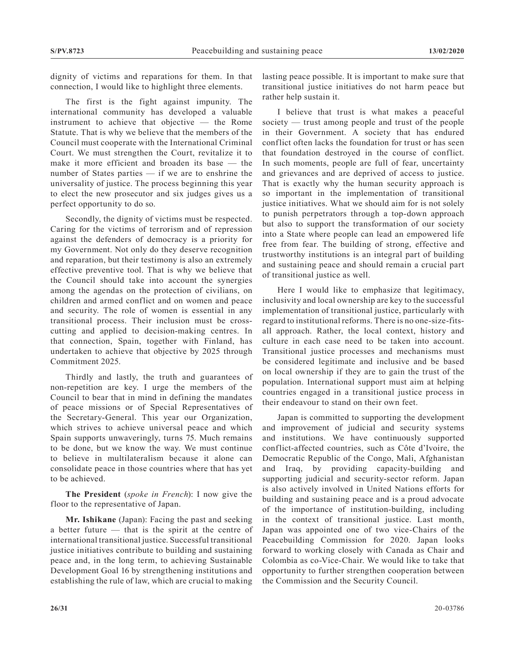dignity of victims and reparations for them. In that connection, I would like to highlight three elements.

The first is the fight against impunity. The international community has developed a valuable instrument to achieve that objective — the Rome Statute. That is why we believe that the members of the Council must cooperate with the International Criminal Court. We must strengthen the Court, revitalize it to make it more efficient and broaden its base — the number of States parties — if we are to enshrine the universality of justice. The process beginning this year to elect the new prosecutor and six judges gives us a perfect opportunity to do so.

Secondly, the dignity of victims must be respected. Caring for the victims of terrorism and of repression against the defenders of democracy is a priority for my Government. Not only do they deserve recognition and reparation, but their testimony is also an extremely effective preventive tool. That is why we believe that the Council should take into account the synergies among the agendas on the protection of civilians, on children and armed conflict and on women and peace and security. The role of women is essential in any transitional process. Their inclusion must be crosscutting and applied to decision-making centres. In that connection, Spain, together with Finland, has undertaken to achieve that objective by 2025 through Commitment 2025.

Thirdly and lastly, the truth and guarantees of non-repetition are key. I urge the members of the Council to bear that in mind in defining the mandates of peace missions or of Special Representatives of the Secretary-General. This year our Organization, which strives to achieve universal peace and which Spain supports unwaveringly, turns 75. Much remains to be done, but we know the way. We must continue to believe in multilateralism because it alone can consolidate peace in those countries where that has yet to be achieved.

**The President** (*spoke in French*): I now give the floor to the representative of Japan.

**Mr. Ishikane** (Japan): Facing the past and seeking a better future — that is the spirit at the centre of international transitional justice. Successful transitional justice initiatives contribute to building and sustaining peace and, in the long term, to achieving Sustainable Development Goal 16 by strengthening institutions and establishing the rule of law, which are crucial to making

lasting peace possible. It is important to make sure that transitional justice initiatives do not harm peace but rather help sustain it.

I believe that trust is what makes a peaceful society — trust among people and trust of the people in their Government. A society that has endured conflict often lacks the foundation for trust or has seen that foundation destroyed in the course of conflict. In such moments, people are full of fear, uncertainty and grievances and are deprived of access to justice. That is exactly why the human security approach is so important in the implementation of transitional justice initiatives. What we should aim for is not solely to punish perpetrators through a top-down approach but also to support the transformation of our society into a State where people can lead an empowered life free from fear. The building of strong, effective and trustworthy institutions is an integral part of building and sustaining peace and should remain a crucial part of transitional justice as well.

Here I would like to emphasize that legitimacy, inclusivity and local ownership are key to the successful implementation of transitional justice, particularly with regard to institutional reforms. There is no one-size-fitsall approach. Rather, the local context, history and culture in each case need to be taken into account. Transitional justice processes and mechanisms must be considered legitimate and inclusive and be based on local ownership if they are to gain the trust of the population. International support must aim at helping countries engaged in a transitional justice process in their endeavour to stand on their own feet.

Japan is committed to supporting the development and improvement of judicial and security systems and institutions. We have continuously supported conflict-affected countries, such as Côte d'Ivoire, the Democratic Republic of the Congo, Mali, Afghanistan and Iraq, by providing capacity-building and supporting judicial and security-sector reform. Japan is also actively involved in United Nations efforts for building and sustaining peace and is a proud advocate of the importance of institution-building, including in the context of transitional justice. Last month, Japan was appointed one of two vice-Chairs of the Peacebuilding Commission for 2020. Japan looks forward to working closely with Canada as Chair and Colombia as co-Vice-Chair. We would like to take that opportunity to further strengthen cooperation between the Commission and the Security Council.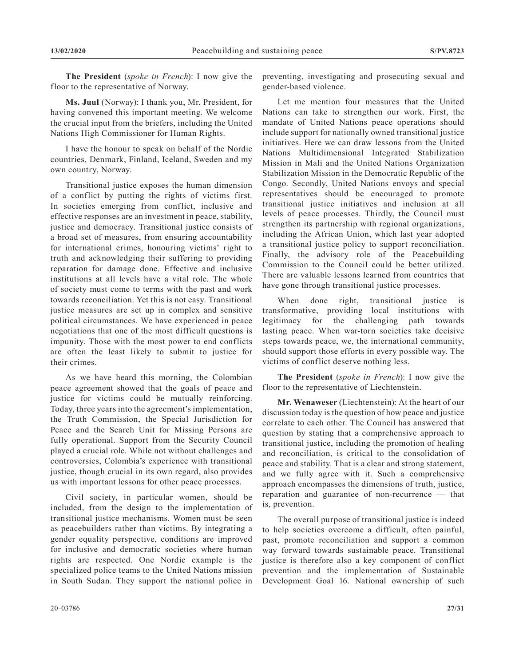**The President** (*spoke in French*): I now give the floor to the representative of Norway.

**Ms. Juul** (Norway): I thank you, Mr. President, for having convened this important meeting. We welcome the crucial input from the briefers, including the United Nations High Commissioner for Human Rights.

I have the honour to speak on behalf of the Nordic countries, Denmark, Finland, Iceland, Sweden and my own country, Norway.

Transitional justice exposes the human dimension of a conflict by putting the rights of victims first. In societies emerging from conflict, inclusive and effective responses are an investment in peace, stability, justice and democracy. Transitional justice consists of a broad set of measures, from ensuring accountability for international crimes, honouring victims' right to truth and acknowledging their suffering to providing reparation for damage done. Effective and inclusive institutions at all levels have a vital role. The whole of society must come to terms with the past and work towards reconciliation. Yet this is not easy. Transitional justice measures are set up in complex and sensitive political circumstances. We have experienced in peace negotiations that one of the most difficult questions is impunity. Those with the most power to end conflicts are often the least likely to submit to justice for their crimes.

As we have heard this morning, the Colombian peace agreement showed that the goals of peace and justice for victims could be mutually reinforcing. Today, three years into the agreement's implementation, the Truth Commission, the Special Jurisdiction for Peace and the Search Unit for Missing Persons are fully operational. Support from the Security Council played a crucial role. While not without challenges and controversies, Colombia's experience with transitional justice, though crucial in its own regard, also provides us with important lessons for other peace processes.

Civil society, in particular women, should be included, from the design to the implementation of transitional justice mechanisms. Women must be seen as peacebuilders rather than victims. By integrating a gender equality perspective, conditions are improved for inclusive and democratic societies where human rights are respected. One Nordic example is the specialized police teams to the United Nations mission in South Sudan. They support the national police in

preventing, investigating and prosecuting sexual and gender-based violence.

Let me mention four measures that the United Nations can take to strengthen our work. First, the mandate of United Nations peace operations should include support for nationally owned transitional justice initiatives. Here we can draw lessons from the United Nations Multidimensional Integrated Stabilization Mission in Mali and the United Nations Organization Stabilization Mission in the Democratic Republic of the Congo. Secondly, United Nations envoys and special representatives should be encouraged to promote transitional justice initiatives and inclusion at all levels of peace processes. Thirdly, the Council must strengthen its partnership with regional organizations, including the African Union, which last year adopted a transitional justice policy to support reconciliation. Finally, the advisory role of the Peacebuilding Commission to the Council could be better utilized. There are valuable lessons learned from countries that have gone through transitional justice processes.

When done right, transitional justice is transformative, providing local institutions with legitimacy for the challenging path towards lasting peace. When war-torn societies take decisive steps towards peace, we, the international community, should support those efforts in every possible way. The victims of conflict deserve nothing less.

**The President** (*spoke in French*): I now give the floor to the representative of Liechtenstein.

**Mr. Wenaweser** (Liechtenstein): At the heart of our discussion today is the question of how peace and justice correlate to each other. The Council has answered that question by stating that a comprehensive approach to transitional justice, including the promotion of healing and reconciliation, is critical to the consolidation of peace and stability. That is a clear and strong statement, and we fully agree with it. Such a comprehensive approach encompasses the dimensions of truth, justice, reparation and guarantee of non-recurrence — that is, prevention.

The overall purpose of transitional justice is indeed to help societies overcome a difficult, often painful, past, promote reconciliation and support a common way forward towards sustainable peace. Transitional justice is therefore also a key component of conflict prevention and the implementation of Sustainable Development Goal 16. National ownership of such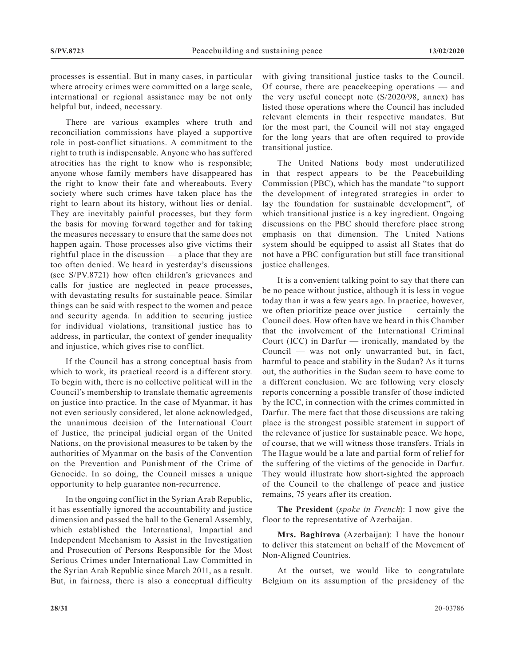processes is essential. But in many cases, in particular where atrocity crimes were committed on a large scale, international or regional assistance may be not only helpful but, indeed, necessary.

There are various examples where truth and reconciliation commissions have played a supportive role in post-conflict situations. A commitment to the right to truth is indispensable. Anyone who has suffered atrocities has the right to know who is responsible; anyone whose family members have disappeared has the right to know their fate and whereabouts. Every society where such crimes have taken place has the right to learn about its history, without lies or denial. They are inevitably painful processes, but they form the basis for moving forward together and for taking the measures necessary to ensure that the same does not happen again. Those processes also give victims their rightful place in the discussion — a place that they are too often denied. We heard in yesterday's discussions (see S/PV.8721) how often children's grievances and calls for justice are neglected in peace processes, with devastating results for sustainable peace. Similar things can be said with respect to the women and peace and security agenda. In addition to securing justice for individual violations, transitional justice has to address, in particular, the context of gender inequality and injustice, which gives rise to conflict.

If the Council has a strong conceptual basis from which to work, its practical record is a different story. To begin with, there is no collective political will in the Council's membership to translate thematic agreements on justice into practice. In the case of Myanmar, it has not even seriously considered, let alone acknowledged, the unanimous decision of the International Court of Justice, the principal judicial organ of the United Nations, on the provisional measures to be taken by the authorities of Myanmar on the basis of the Convention on the Prevention and Punishment of the Crime of Genocide. In so doing, the Council misses a unique opportunity to help guarantee non-recurrence.

In the ongoing conflict in the Syrian Arab Republic, it has essentially ignored the accountability and justice dimension and passed the ball to the General Assembly, which established the International, Impartial and Independent Mechanism to Assist in the Investigation and Prosecution of Persons Responsible for the Most Serious Crimes under International Law Committed in the Syrian Arab Republic since March 2011, as a result. But, in fairness, there is also a conceptual difficulty

with giving transitional justice tasks to the Council. Of course, there are peacekeeping operations — and the very useful concept note (S/2020/98, annex) has listed those operations where the Council has included relevant elements in their respective mandates. But for the most part, the Council will not stay engaged for the long years that are often required to provide transitional justice.

The United Nations body most underutilized in that respect appears to be the Peacebuilding Commission (PBC), which has the mandate "to support the development of integrated strategies in order to lay the foundation for sustainable development", of which transitional justice is a key ingredient. Ongoing discussions on the PBC should therefore place strong emphasis on that dimension. The United Nations system should be equipped to assist all States that do not have a PBC configuration but still face transitional justice challenges.

It is a convenient talking point to say that there can be no peace without justice, although it is less in vogue today than it was a few years ago. In practice, however, we often prioritize peace over justice — certainly the Council does. How often have we heard in this Chamber that the involvement of the International Criminal Court (ICC) in Darfur — ironically, mandated by the Council — was not only unwarranted but, in fact, harmful to peace and stability in the Sudan? As it turns out, the authorities in the Sudan seem to have come to a different conclusion. We are following very closely reports concerning a possible transfer of those indicted by the ICC, in connection with the crimes committed in Darfur. The mere fact that those discussions are taking place is the strongest possible statement in support of the relevance of justice for sustainable peace. We hope, of course, that we will witness those transfers. Trials in The Hague would be a late and partial form of relief for the suffering of the victims of the genocide in Darfur. They would illustrate how short-sighted the approach of the Council to the challenge of peace and justice remains, 75 years after its creation.

**The President** (*spoke in French*): I now give the floor to the representative of Azerbaijan.

**Mrs. Baghirova** (Azerbaijan): I have the honour to deliver this statement on behalf of the Movement of Non-Aligned Countries.

At the outset, we would like to congratulate Belgium on its assumption of the presidency of the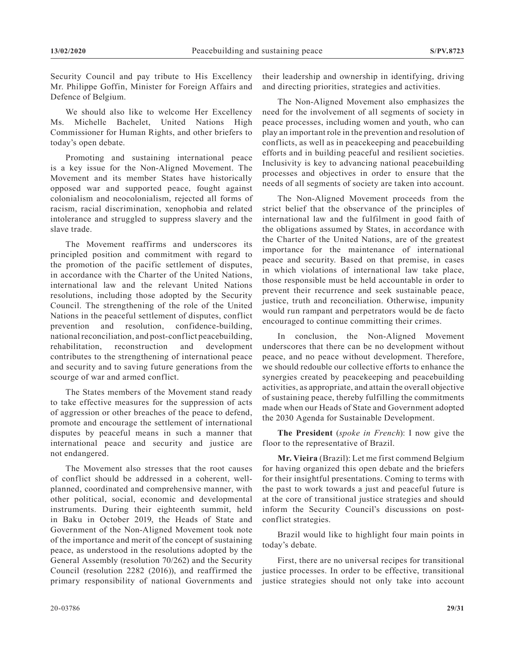Security Council and pay tribute to His Excellency Mr. Philippe Goffin, Minister for Foreign Affairs and Defence of Belgium.

We should also like to welcome Her Excellency Ms. Michelle Bachelet, United Nations High Commissioner for Human Rights, and other briefers to today's open debate.

Promoting and sustaining international peace is a key issue for the Non-Aligned Movement. The Movement and its member States have historically opposed war and supported peace, fought against colonialism and neocolonialism, rejected all forms of racism, racial discrimination, xenophobia and related intolerance and struggled to suppress slavery and the slave trade.

The Movement reaffirms and underscores its principled position and commitment with regard to the promotion of the pacific settlement of disputes, in accordance with the Charter of the United Nations, international law and the relevant United Nations resolutions, including those adopted by the Security Council. The strengthening of the role of the United Nations in the peaceful settlement of disputes, conflict prevention and resolution, confidence-building, national reconciliation, and post-conflict peacebuilding, rehabilitation, reconstruction and development contributes to the strengthening of international peace and security and to saving future generations from the scourge of war and armed conflict.

The States members of the Movement stand ready to take effective measures for the suppression of acts of aggression or other breaches of the peace to defend, promote and encourage the settlement of international disputes by peaceful means in such a manner that international peace and security and justice are not endangered.

The Movement also stresses that the root causes of conflict should be addressed in a coherent, wellplanned, coordinated and comprehensive manner, with other political, social, economic and developmental instruments. During their eighteenth summit, held in Baku in October 2019, the Heads of State and Government of the Non-Aligned Movement took note of the importance and merit of the concept of sustaining peace, as understood in the resolutions adopted by the General Assembly (resolution 70/262) and the Security Council (resolution 2282 (2016)), and reaffirmed the primary responsibility of national Governments and

their leadership and ownership in identifying, driving and directing priorities, strategies and activities.

The Non-Aligned Movement also emphasizes the need for the involvement of all segments of society in peace processes, including women and youth, who can play an important role in the prevention and resolution of conflicts, as well as in peacekeeping and peacebuilding efforts and in building peaceful and resilient societies. Inclusivity is key to advancing national peacebuilding processes and objectives in order to ensure that the needs of all segments of society are taken into account.

The Non-Aligned Movement proceeds from the strict belief that the observance of the principles of international law and the fulfilment in good faith of the obligations assumed by States, in accordance with the Charter of the United Nations, are of the greatest importance for the maintenance of international peace and security. Based on that premise, in cases in which violations of international law take place, those responsible must be held accountable in order to prevent their recurrence and seek sustainable peace, justice, truth and reconciliation. Otherwise, impunity would run rampant and perpetrators would be de facto encouraged to continue committing their crimes.

In conclusion, the Non-Aligned Movement underscores that there can be no development without peace, and no peace without development. Therefore, we should redouble our collective efforts to enhance the synergies created by peacekeeping and peacebuilding activities, as appropriate, and attain the overall objective of sustaining peace, thereby fulfilling the commitments made when our Heads of State and Government adopted the 2030 Agenda for Sustainable Development.

**The President** (*spoke in French*): I now give the floor to the representative of Brazil.

**Mr. Vieira** (Brazil): Let me first commend Belgium for having organized this open debate and the briefers for their insightful presentations. Coming to terms with the past to work towards a just and peaceful future is at the core of transitional justice strategies and should inform the Security Council's discussions on postconflict strategies.

Brazil would like to highlight four main points in today's debate.

First, there are no universal recipes for transitional justice processes. In order to be effective, transitional justice strategies should not only take into account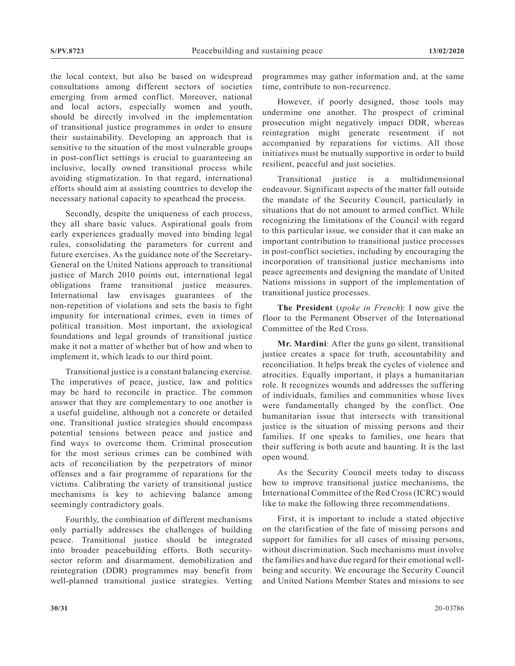the local context, but also be based on widespread consultations among different sectors of societies emerging from armed conflict. Moreover, national and local actors, especially women and youth, should be directly involved in the implementation of transitional justice programmes in order to ensure their sustainability. Developing an approach that is sensitive to the situation of the most vulnerable groups in post-conflict settings is crucial to guaranteeing an inclusive, locally owned transitional process while avoiding stigmatization. In that regard, international efforts should aim at assisting countries to develop the necessary national capacity to spearhead the process.

Secondly, despite the uniqueness of each process, they all share basic values. Aspirational goals from early experiences gradually moved into binding legal rules, consolidating the parameters for current and future exercises. As the guidance note of the Secretary-General on the United Nations approach to transitional justice of March 2010 points out, international legal obligations frame transitional justice measures. International law envisages guarantees of the non-repetition of violations and sets the basis to fight impunity for international crimes, even in times of political transition. Most important, the axiological foundations and legal grounds of transitional justice make it not a matter of whether but of how and when to implement it, which leads to our third point.

Transitional justice is a constant balancing exercise. The imperatives of peace, justice, law and politics may be hard to reconcile in practice. The common answer that they are complementary to one another is a useful guideline, although not a concrete or detailed one. Transitional justice strategies should encompass potential tensions between peace and justice and find ways to overcome them. Criminal prosecution for the most serious crimes can be combined with acts of reconciliation by the perpetrators of minor offenses and a fair programme of reparations for the victims. Calibrating the variety of transitional justice mechanisms is key to achieving balance among seemingly contradictory goals.

Fourthly, the combination of different mechanisms only partially addresses the challenges of building peace. Transitional justice should be integrated into broader peacebuilding efforts. Both securitysector reform and disarmament, demobilization and reintegration (DDR) programmes may benefit from well-planned transitional justice strategies. Vetting programmes may gather information and, at the same time, contribute to non-recurrence.

However, if poorly designed, those tools may undermine one another. The prospect of criminal prosecution might negatively impact DDR, whereas reintegration might generate resentment if not accompanied by reparations for victims. All those initiatives must be mutually supportive in order to build resilient, peaceful and just societies.

Transitional justice is a multidimensional endeavour. Significant aspects of the matter fall outside the mandate of the Security Council, particularly in situations that do not amount to armed conflict. While recognizing the limitations of the Council with regard to this particular issue, we consider that it can make an important contribution to transitional justice processes in post-conflict societies, including by encouraging the incorporation of transitional justice mechanisms into peace agreements and designing the mandate of United Nations missions in support of the implementation of transitional justice processes.

**The President** (*spoke in French*): I now give the floor to the Permanent Observer of the International Committee of the Red Cross.

**Mr. Mardini**: After the guns go silent, transitional justice creates a space for truth, accountability and reconciliation. It helps break the cycles of violence and atrocities. Equally important, it plays a humanitarian role. It recognizes wounds and addresses the suffering of individuals, families and communities whose lives were fundamentally changed by the conflict. One humanitarian issue that intersects with transitional justice is the situation of missing persons and their families. If one speaks to families, one hears that their suffering is both acute and haunting. It is the last open wound.

As the Security Council meets today to discuss how to improve transitional justice mechanisms, the International Committee of the Red Cross (ICRC) would like to make the following three recommendations.

First, it is important to include a stated objective on the clarification of the fate of missing persons and support for families for all cases of missing persons, without discrimination. Such mechanisms must involve the families and have due regard for their emotional wellbeing and security. We encourage the Security Council and United Nations Member States and missions to see